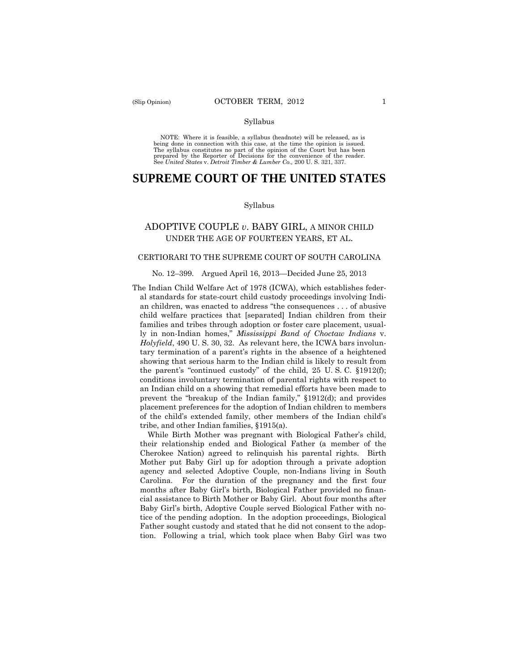#### Syllabus

 NOTE: Where it is feasible, a syllabus (headnote) will be released, as is being done in connection with this case, at the time the opinion is issued. The syllabus constitutes no part of the opinion of the Court but has been<br>prepared by the Reporter of Decisions for the convenience of the reader.<br>See United States v. Detroit Timber & Lumber Co., 200 U. S. 321, 337.

# **SUPREME COURT OF THE UNITED STATES**

#### Syllabus

# ADOPTIVE COUPLE *v*. BABY GIRL, A MINOR CHILD UNDER THE AGE OF FOURTEEN YEARS, ET AL.

# CERTIORARI TO THE SUPREME COURT OF SOUTH CAROLINA

#### No. 12–399. Argued April 16, 2013—Decided June 25, 2013

The Indian Child Welfare Act of 1978 (ICWA), which establishes federal standards for state-court child custody proceedings involving Indian children, was enacted to address "the consequences . . . of abusive child welfare practices that [separated] Indian children from their families and tribes through adoption or foster care placement, usually in non-Indian homes," *Mississippi Band of Choctaw Indians* v. *Holyfield*, 490 U. S. 30, 32. As relevant here, the ICWA bars involuntary termination of a parent's rights in the absence of a heightened showing that serious harm to the Indian child is likely to result from the parent's "continued custody" of the child, 25 U. S. C. §1912(f); conditions involuntary termination of parental rights with respect to an Indian child on a showing that remedial efforts have been made to prevent the "breakup of the Indian family," §1912(d); and provides placement preferences for the adoption of Indian children to members of the child's extended family, other members of the Indian child's tribe, and other Indian families, §1915(a).

While Birth Mother was pregnant with Biological Father's child, their relationship ended and Biological Father (a member of the Cherokee Nation) agreed to relinquish his parental rights. Birth Mother put Baby Girl up for adoption through a private adoption agency and selected Adoptive Couple, non-Indians living in South Carolina. For the duration of the pregnancy and the first four months after Baby Girl's birth, Biological Father provided no financial assistance to Birth Mother or Baby Girl. About four months after Baby Girl's birth, Adoptive Couple served Biological Father with notice of the pending adoption. In the adoption proceedings, Biological Father sought custody and stated that he did not consent to the adoption. Following a trial, which took place when Baby Girl was two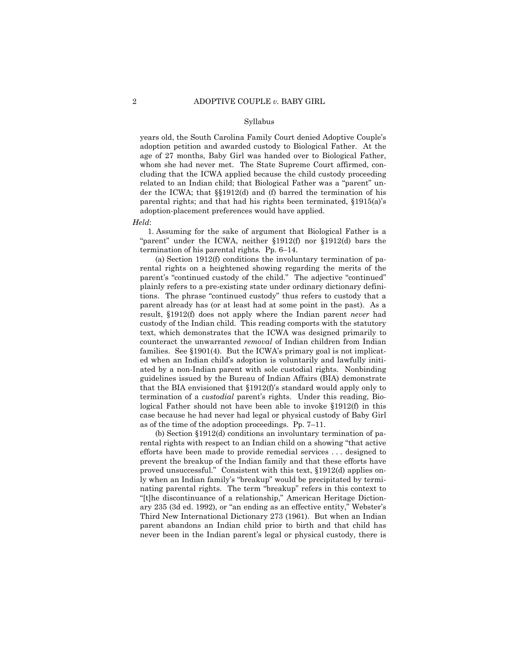#### Syllabus

years old, the South Carolina Family Court denied Adoptive Couple's adoption petition and awarded custody to Biological Father. At the age of 27 months, Baby Girl was handed over to Biological Father, whom she had never met. The State Supreme Court affirmed, concluding that the ICWA applied because the child custody proceeding related to an Indian child; that Biological Father was a "parent" under the ICWA; that §§1912(d) and (f) barred the termination of his parental rights; and that had his rights been terminated, §1915(a)'s adoption-placement preferences would have applied.

*Held*:

1. Assuming for the sake of argument that Biological Father is a "parent" under the ICWA, neither §1912(f) nor §1912(d) bars the termination of his parental rights*.* Pp. 6–14.

(a) Section 1912(f) conditions the involuntary termination of parental rights on a heightened showing regarding the merits of the parent's "continued custody of the child." The adjective "continued" plainly refers to a pre-existing state under ordinary dictionary definitions. The phrase "continued custody" thus refers to custody that a parent already has (or at least had at some point in the past). As a result, §1912(f) does not apply where the Indian parent *never* had custody of the Indian child. This reading comports with the statutory text, which demonstrates that the ICWA was designed primarily to counteract the unwarranted *removal* of Indian children from Indian families. See §1901(4). But the ICWA's primary goal is not implicated when an Indian child's adoption is voluntarily and lawfully initiated by a non-Indian parent with sole custodial rights. Nonbinding guidelines issued by the Bureau of Indian Affairs (BIA) demonstrate that the BIA envisioned that §1912(f)'s standard would apply only to termination of a *custodial* parent's rights. Under this reading, Biological Father should not have been able to invoke §1912(f) in this case because he had never had legal or physical custody of Baby Girl as of the time of the adoption proceedings. Pp. 7–11.

(b) Section §1912(d) conditions an involuntary termination of parental rights with respect to an Indian child on a showing "that active efforts have been made to provide remedial services . . . designed to prevent the breakup of the Indian family and that these efforts have proved unsuccessful." Consistent with this text, §1912(d) applies only when an Indian family's "breakup" would be precipitated by terminating parental rights. The term "breakup" refers in this context to "[t]he discontinuance of a relationship," American Heritage Dictionary 235 (3d ed. 1992), or "an ending as an effective entity," Webster's Third New International Dictionary 273 (1961). But when an Indian parent abandons an Indian child prior to birth and that child has never been in the Indian parent's legal or physical custody, there is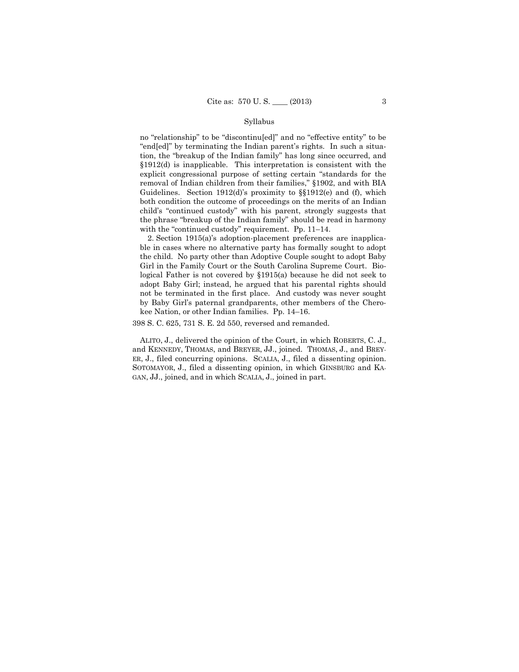# Syllabus

no "relationship" to be "discontinu[ed]" and no "effective entity" to be "end[ed]" by terminating the Indian parent's rights. In such a situation, the "breakup of the Indian family" has long since occurred, and §1912(d) is inapplicable. This interpretation is consistent with the explicit congressional purpose of setting certain "standards for the removal of Indian children from their families," §1902, and with BIA Guidelines. Section 1912(d)'s proximity to §§1912(e) and (f), which both condition the outcome of proceedings on the merits of an Indian child's "continued custody" with his parent, strongly suggests that the phrase "breakup of the Indian family" should be read in harmony with the "continued custody" requirement. Pp. 11–14.

2. Section 1915(a)'s adoption-placement preferences are inapplicable in cases where no alternative party has formally sought to adopt the child. No party other than Adoptive Couple sought to adopt Baby Girl in the Family Court or the South Carolina Supreme Court. Biological Father is not covered by §1915(a) because he did not seek to adopt Baby Girl; instead, he argued that his parental rights should not be terminated in the first place. And custody was never sought by Baby Girl's paternal grandparents, other members of the Cherokee Nation, or other Indian families. Pp. 14–16.

398 S. C. 625, 731 S. E. 2d 550, reversed and remanded.

ALITO, J., delivered the opinion of the Court, in which ROBERTS, C. J., and KENNEDY, THOMAS, and BREYER, JJ., joined. THOMAS, J., and BREY-ER, J., filed concurring opinions. SCALIA, J., filed a dissenting opinion. SOTOMAYOR, J., filed a dissenting opinion, in which GINSBURG and KA-GAN, JJ., joined, and in which SCALIA, J., joined in part.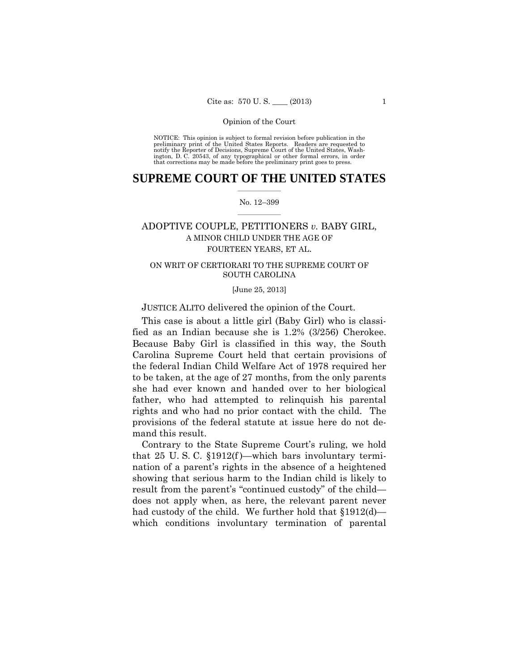preliminary print of the United States Reports. Readers are requested to notify the Reporter of Decisions, Supreme Court of the United States, Wash- ington, D. C. 20543, of any typographical or other formal errors, in order that corrections may be made before the preliminary print goes to press. NOTICE: This opinion is subject to formal revision before publication in the

# $\frac{1}{2}$  , where  $\frac{1}{2}$ **SUPREME COURT OF THE UNITED STATES**

# $\frac{1}{2}$  ,  $\frac{1}{2}$  ,  $\frac{1}{2}$  ,  $\frac{1}{2}$  ,  $\frac{1}{2}$  ,  $\frac{1}{2}$ No. 12–399

# ADOPTIVE COUPLE, PETITIONERS *v.* BABY GIRL, A MINOR CHILD UNDER THE AGE OF FOURTEEN YEARS, ET AL.

# ON WRIT OF CERTIORARI TO THE SUPREME COURT OF SOUTH CAROLINA

[June 25, 2013]

JUSTICE ALITO delivered the opinion of the Court.

 fied as an Indian because she is 1.2% (3/256) Cherokee. This case is about a little girl (Baby Girl) who is classi-Because Baby Girl is classified in this way, the South Carolina Supreme Court held that certain provisions of the federal Indian Child Welfare Act of 1978 required her to be taken, at the age of 27 months, from the only parents she had ever known and handed over to her biological father, who had attempted to relinquish his parental rights and who had no prior contact with the child. The provisions of the federal statute at issue here do not demand this result.

Contrary to the State Supreme Court's ruling, we hold that 25 U.S.C.  $\S 1912(f)$ —which bars involuntary termination of a parent's rights in the absence of a heightened showing that serious harm to the Indian child is likely to result from the parent's "continued custody" of the child does not apply when, as here, the relevant parent never had custody of the child. We further hold that §1912(d) which conditions involuntary termination of parental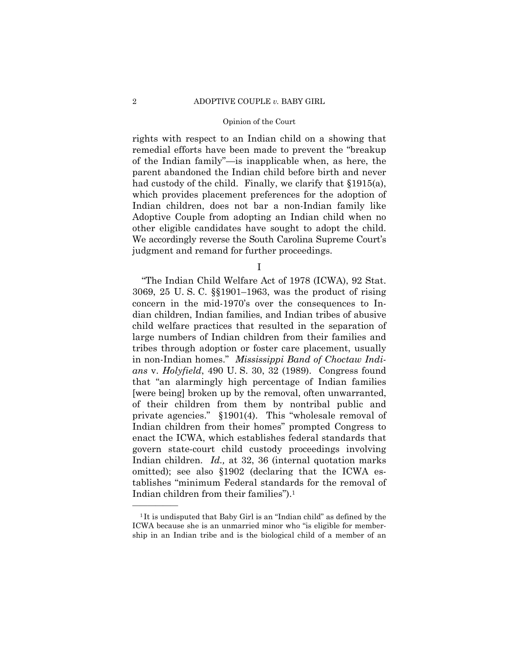rights with respect to an Indian child on a showing that remedial efforts have been made to prevent the "breakup of the Indian family"—is inapplicable when, as here, the parent abandoned the Indian child before birth and never had custody of the child. Finally, we clarify that §1915(a), which provides placement preferences for the adoption of Indian children, does not bar a non-Indian family like Adoptive Couple from adopting an Indian child when no other eligible candidates have sought to adopt the child. We accordingly reverse the South Carolina Supreme Court's judgment and remand for further proceedings.

I

"The Indian Child Welfare Act of 1978 (ICWA), 92 Stat. 3069, 25 U. S. C. §§1901–1963, was the product of rising concern in the mid-1970's over the consequences to Indian children, Indian families, and Indian tribes of abusive child welfare practices that resulted in the separation of large numbers of Indian children from their families and tribes through adoption or foster care placement, usually in non-Indian homes." *Mississippi Band of Choctaw Indians* v. *Holyfield*, 490 U. S. 30, 32 (1989). Congress found that "an alarmingly high percentage of Indian families [were being] broken up by the removal, often unwarranted, of their children from them by nontribal public and private agencies." §1901(4). This "wholesale removal of Indian children from their homes" prompted Congress to enact the ICWA, which establishes federal standards that govern state-court child custody proceedings involving Indian children. *Id.,* at 32, 36 (internal quotation marks omitted); see also §1902 (declaring that the ICWA establishes "minimum Federal standards for the removal of Indian children from their families").1

<sup>&</sup>lt;sup>1</sup>It is undisputed that Baby Girl is an "Indian child" as defined by the ICWA because she is an unmarried minor who "is eligible for membership in an Indian tribe and is the biological child of a member of an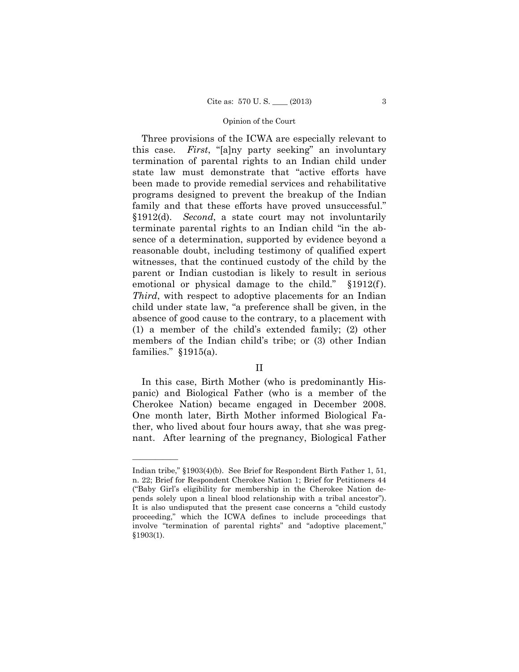$$1912(f).$ Three provisions of the ICWA are especially relevant to this case. *First*, "[a]ny party seeking" an involuntary termination of parental rights to an Indian child under state law must demonstrate that "active efforts have been made to provide remedial services and rehabilitative programs designed to prevent the breakup of the Indian family and that these efforts have proved unsuccessful." §1912(d). *Second*, a state court may not involuntarily terminate parental rights to an Indian child "in the absence of a determination, supported by evidence beyond a reasonable doubt, including testimony of qualified expert witnesses, that the continued custody of the child by the parent or Indian custodian is likely to result in serious emotional or physical damage to the child." *Third*, with respect to adoptive placements for an Indian child under state law, "a preference shall be given, in the absence of good cause to the contrary, to a placement with (1) a member of the child's extended family; (2) other members of the Indian child's tribe; or (3) other Indian families." §1915(a).

# II

In this case, Birth Mother (who is predominantly Hispanic) and Biological Father (who is a member of the Cherokee Nation) became engaged in December 2008. One month later, Birth Mother informed Biological Father, who lived about four hours away, that she was pregnant. After learning of the pregnancy, Biological Father

Indian tribe," §1903(4)(b). See Brief for Respondent Birth Father 1, 51, n. 22; Brief for Respondent Cherokee Nation 1; Brief for Petitioners 44 ("Baby Girl's eligibility for membership in the Cherokee Nation depends solely upon a lineal blood relationship with a tribal ancestor"). It is also undisputed that the present case concerns a "child custody proceeding," which the ICWA defines to include proceedings that involve "termination of parental rights" and "adoptive placement," §1903(1).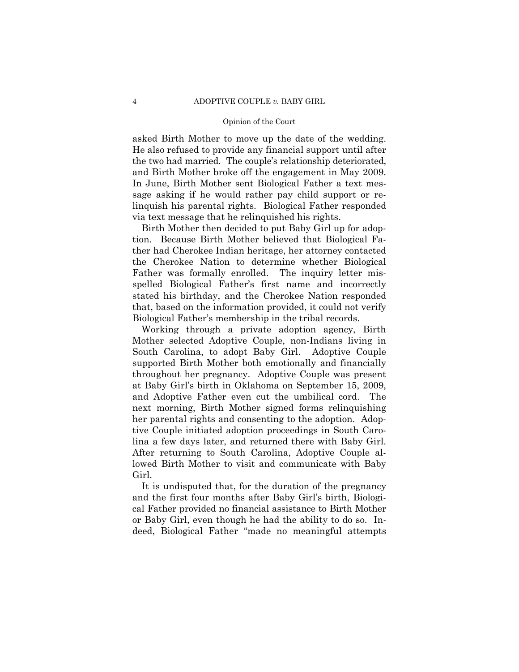asked Birth Mother to move up the date of the wedding. He also refused to provide any financial support until after the two had married. The couple's relationship deteriorated, and Birth Mother broke off the engagement in May 2009. In June, Birth Mother sent Biological Father a text message asking if he would rather pay child support or relinquish his parental rights. Biological Father responded via text message that he relinquished his rights.

Birth Mother then decided to put Baby Girl up for adoption. Because Birth Mother believed that Biological Father had Cherokee Indian heritage, her attorney contacted the Cherokee Nation to determine whether Biological Father was formally enrolled. The inquiry letter misspelled Biological Father's first name and incorrectly stated his birthday, and the Cherokee Nation responded that, based on the information provided, it could not verify Biological Father's membership in the tribal records.

Working through a private adoption agency, Birth Mother selected Adoptive Couple, non-Indians living in South Carolina, to adopt Baby Girl. Adoptive Couple supported Birth Mother both emotionally and financially throughout her pregnancy. Adoptive Couple was present at Baby Girl's birth in Oklahoma on September 15, 2009, and Adoptive Father even cut the umbilical cord. The next morning, Birth Mother signed forms relinquishing her parental rights and consenting to the adoption. Adoptive Couple initiated adoption proceedings in South Carolina a few days later, and returned there with Baby Girl. After returning to South Carolina, Adoptive Couple allowed Birth Mother to visit and communicate with Baby Girl.

It is undisputed that, for the duration of the pregnancy and the first four months after Baby Girl's birth, Biological Father provided no financial assistance to Birth Mother or Baby Girl, even though he had the ability to do so. Indeed, Biological Father "made no meaningful attempts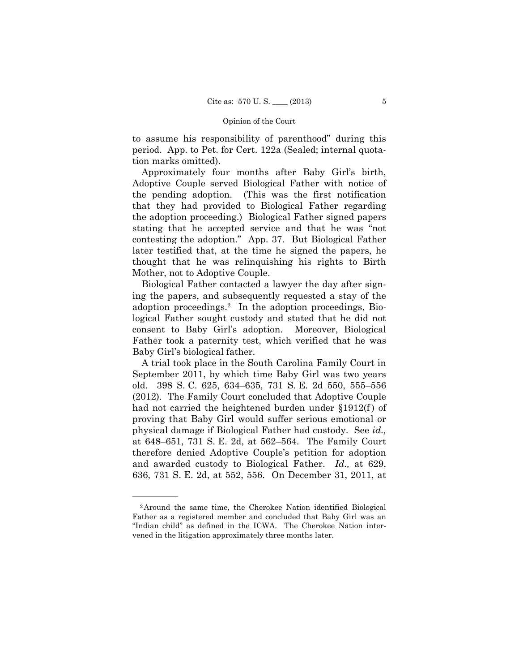to assume his responsibility of parenthood" during this period. App. to Pet. for Cert. 122a (Sealed; internal quotation marks omitted).

Approximately four months after Baby Girl's birth, Adoptive Couple served Biological Father with notice of the pending adoption. (This was the first notification that they had provided to Biological Father regarding the adoption proceeding.) Biological Father signed papers stating that he accepted service and that he was "not contesting the adoption." App. 37. But Biological Father later testified that, at the time he signed the papers, he thought that he was relinquishing his rights to Birth Mother, not to Adoptive Couple.

 adoption proceedings.2 In the adoption proceedings, Bio-Biological Father contacted a lawyer the day after signing the papers, and subsequently requested a stay of the logical Father sought custody and stated that he did not consent to Baby Girl's adoption. Moreover, Biological Father took a paternity test, which verified that he was Baby Girl's biological father.

A trial took place in the South Carolina Family Court in September 2011, by which time Baby Girl was two years old. 398 S. C. 625, 634–635, 731 S. E. 2d 550, 555–556 (2012). The Family Court concluded that Adoptive Couple had not carried the heightened burden under §1912(f) of proving that Baby Girl would suffer serious emotional or physical damage if Biological Father had custody. See *id.,*  at 648–651, 731 S. E. 2d, at 562–564. The Family Court therefore denied Adoptive Couple's petition for adoption and awarded custody to Biological Father. *Id.,* at 629, 636, 731 S. E. 2d, at 552, 556. On December 31, 2011, at

 Father as a registered member and concluded that Baby Girl was an 2Around the same time, the Cherokee Nation identified Biological "Indian child" as defined in the ICWA. The Cherokee Nation intervened in the litigation approximately three months later.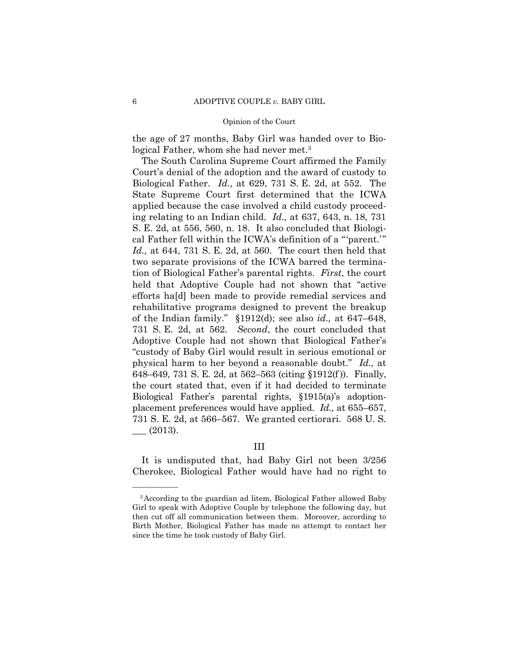the age of 27 months, Baby Girl was handed over to Biological Father, whom she had never met.<sup>3</sup>

 placement preferences would have applied. *Id.,* at 655–657, The South Carolina Supreme Court affirmed the Family Court's denial of the adoption and the award of custody to Biological Father. *Id.,* at 629, 731 S. E. 2d, at 552. The State Supreme Court first determined that the ICWA applied because the case involved a child custody proceeding relating to an Indian child. *Id.,* at 637, 643, n. 18, 731 S. E. 2d, at 556, 560, n. 18. It also concluded that Biological Father fell within the ICWA's definition of a "'parent.'" *Id.,* at 644, 731 S. E. 2d, at 560. The court then held that two separate provisions of the ICWA barred the termination of Biological Father's parental rights. *First*, the court held that Adoptive Couple had not shown that "active efforts ha[d] been made to provide remedial services and rehabilitative programs designed to prevent the breakup of the Indian family." §1912(d); see also *id.,* at 647–648, 731 S. E. 2d, at 562. *Second*, the court concluded that Adoptive Couple had not shown that Biological Father's "custody of Baby Girl would result in serious emotional or physical harm to her beyond a reasonable doubt." *Id.,* at 648–649, 731 S. E. 2d, at 562–563 (citing §1912(f )). Finally, the court stated that, even if it had decided to terminate Biological Father's parental rights, §1915(a)'s adoption-731 S. E. 2d, at 566–567. We granted certiorari. 568 U. S.  $\_\_$  (2013).

# III

It is undisputed that, had Baby Girl not been 3/256 Cherokee, Biological Father would have had no right to

<sup>3</sup>According to the guardian ad litem, Biological Father allowed Baby Girl to speak with Adoptive Couple by telephone the following day, but then cut off all communication between them. Moreover, according to Birth Mother, Biological Father has made no attempt to contact her since the time he took custody of Baby Girl.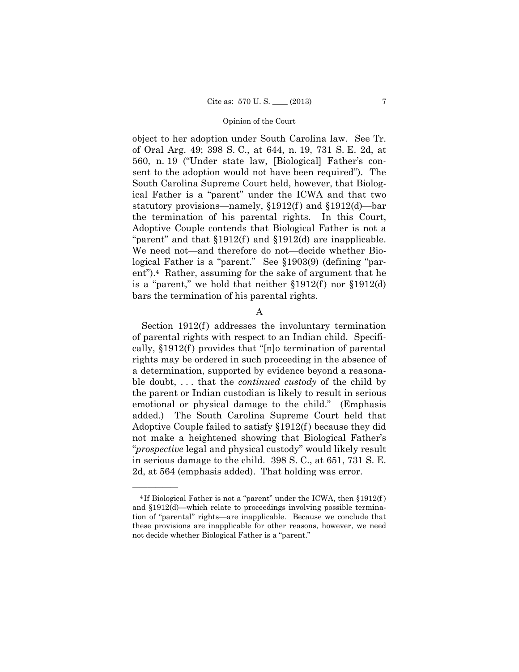object to her adoption under South Carolina law. See Tr. of Oral Arg. 49; 398 S. C., at 644, n. 19, 731 S. E. 2d, at 560, n. 19 ("Under state law, [Biological] Father's consent to the adoption would not have been required"). The South Carolina Supreme Court held, however, that Biological Father is a "parent" under the ICWA and that two statutory provisions—namely,  $$1912(f)$  and  $$1912(d)$ —bar the termination of his parental rights. In this Court, Adoptive Couple contends that Biological Father is not a "parent" and that  $$1912(f)$  and  $$1912(d)$  are inapplicable. We need not—and therefore do not—decide whether Biological Father is a "parent." See §1903(9) (defining "parent").4 Rather, assuming for the sake of argument that he is a "parent," we hold that neither  $$1912(f)$  nor  $$1912(d)$ bars the termination of his parental rights.

# A

Section  $1912(f)$  addresses the involuntary termination of parental rights with respect to an Indian child. Specifically,  $\S 1912(f)$  provides that "[n]o termination of parental rights may be ordered in such proceeding in the absence of a determination, supported by evidence beyond a reasonable doubt, . . . that the *continued custody* of the child by the parent or Indian custodian is likely to result in serious emotional or physical damage to the child." (Emphasis added.) The South Carolina Supreme Court held that Adoptive Couple failed to satisfy §1912(f ) because they did not make a heightened showing that Biological Father's "*prospective* legal and physical custody" would likely result in serious damage to the child. 398 S. C., at 651, 731 S. E. 2d, at 564 (emphasis added). That holding was error.

<sup>&</sup>lt;sup>4</sup>If Biological Father is not a "parent" under the ICWA, then §1912(f) and §1912(d)—which relate to proceedings involving possible termination of "parental" rights—are inapplicable. Because we conclude that these provisions are inapplicable for other reasons, however, we need not decide whether Biological Father is a "parent."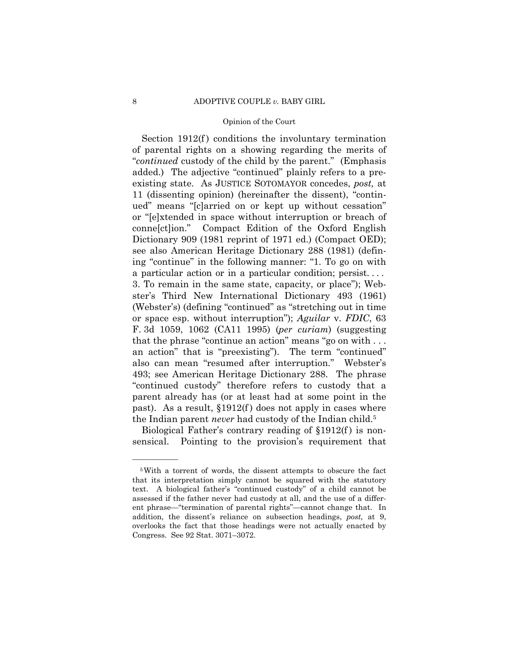Section 1912(f) conditions the involuntary termination of parental rights on a showing regarding the merits of "*continued* custody of the child by the parent." (Emphasis added.) The adjective "continued" plainly refers to a preexisting state. As JUSTICE SOTOMAYOR concedes, *post,* at 11 (dissenting opinion) (hereinafter the dissent), "continued" means "[c]arried on or kept up without cessation" or "[e]xtended in space without interruption or breach of conne[ct]ion." Compact Edition of the Oxford English Dictionary 909 (1981 reprint of 1971 ed.) (Compact OED); see also American Heritage Dictionary 288 (1981) (defining "continue" in the following manner: "1. To go on with a particular action or in a particular condition; persist. . . . 3. To remain in the same state, capacity, or place"); Webster's Third New International Dictionary 493 (1961) (Webster's) (defining "continued" as "stretching out in time or space esp. without interruption"); *Aguilar* v. *FDIC*, 63 F. 3d 1059, 1062 (CA11 1995) (*per curiam*) (suggesting that the phrase "continue an action" means "go on with . . . an action" that is "preexisting"). The term "continued" also can mean "resumed after interruption." Webster's 493; see American Heritage Dictionary 288. The phrase "continued custody" therefore refers to custody that a parent already has (or at least had at some point in the past). As a result,  $\S 1912(f)$  does not apply in cases where the Indian parent *never* had custody of the Indian child.5

Biological Father's contrary reading of  $\S 1912(f)$  is nonsensical. Pointing to the provision's requirement that

<sup>5</sup>With a torrent of words, the dissent attempts to obscure the fact that its interpretation simply cannot be squared with the statutory text. A biological father's "continued custody" of a child cannot be assessed if the father never had custody at all, and the use of a different phrase—"termination of parental rights"—cannot change that. In addition, the dissent's reliance on subsection headings, *post,* at 9, overlooks the fact that those headings were not actually enacted by Congress. See 92 Stat. 3071–3072.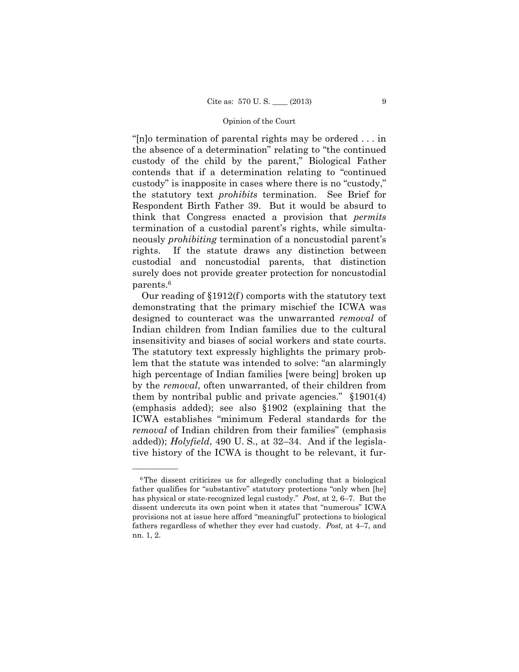"[n]o termination of parental rights may be ordered . . . in the absence of a determination" relating to "the continued custody of the child by the parent," Biological Father contends that if a determination relating to "continued custody" is inapposite in cases where there is no "custody," the statutory text *prohibits* termination. See Brief for Respondent Birth Father 39. But it would be absurd to think that Congress enacted a provision that *permits* termination of a custodial parent's rights, while simultaneously *prohibiting* termination of a noncustodial parent's rights. If the statute draws any distinction between custodial and noncustodial parents, that distinction surely does not provide greater protection for noncustodial parents.6

 insensitivity and biases of social workers and state courts. Our reading of  $\S 1912(f)$  comports with the statutory text demonstrating that the primary mischief the ICWA was designed to counteract was the unwarranted *removal* of Indian children from Indian families due to the cultural The statutory text expressly highlights the primary problem that the statute was intended to solve: "an alarmingly high percentage of Indian families [were being] broken up by the *removal*, often unwarranted, of their children from them by nontribal public and private agencies." §1901(4) (emphasis added); see also §1902 (explaining that the ICWA establishes "minimum Federal standards for the *removal* of Indian children from their families" (emphasis added)); *Holyfield*, 490 U. S., at 32–34. And if the legislative history of the ICWA is thought to be relevant, it fur-

 has physical or state-recognized legal custody." *Post,* at 2, 6–7. But the 6The dissent criticizes us for allegedly concluding that a biological father qualifies for "substantive" statutory protections "only when [he] dissent undercuts its own point when it states that "numerous" ICWA provisions not at issue here afford "meaningful" protections to biological fathers regardless of whether they ever had custody. *Post,* at 4–7, and nn. 1, 2.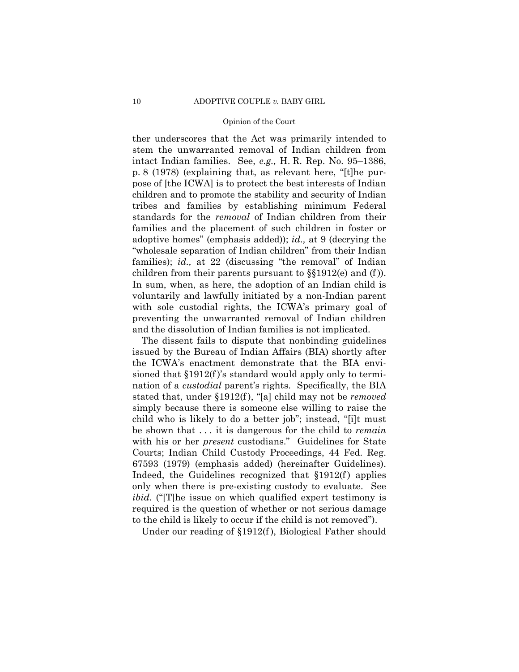ther underscores that the Act was primarily intended to stem the unwarranted removal of Indian children from intact Indian families. See, *e.g.,* H. R. Rep. No. 95–1386, p. 8 (1978) (explaining that, as relevant here, "[t]he purpose of [the ICWA] is to protect the best interests of Indian children and to promote the stability and security of Indian tribes and families by establishing minimum Federal standards for the *removal* of Indian children from their families and the placement of such children in foster or adoptive homes" (emphasis added)); *id.,* at 9 (decrying the "wholesale separation of Indian children" from their Indian families); *id.*, at 22 (discussing "the removal" of Indian children from their parents pursuant to §§1912(e) and (f )). In sum, when, as here, the adoption of an Indian child is voluntarily and lawfully initiated by a non-Indian parent with sole custodial rights, the ICWA's primary goal of preventing the unwarranted removal of Indian children and the dissolution of Indian families is not implicated.

The dissent fails to dispute that nonbinding guidelines issued by the Bureau of Indian Affairs (BIA) shortly after the ICWA's enactment demonstrate that the BIA envisioned that  $\S 1912(f)$ 's standard would apply only to termination of a *custodial* parent's rights. Specifically, the BIA stated that, under §1912(f ), "[a] child may not be *removed*  simply because there is someone else willing to raise the child who is likely to do a better job"; instead, "[i]t must be shown that . . . it is dangerous for the child to *remain*  with his or her *present* custodians." Guidelines for State Courts; Indian Child Custody Proceedings, 44 Fed. Reg. 67593 (1979) (emphasis added) (hereinafter Guidelines). Indeed, the Guidelines recognized that  $$1912(f)$  applies only when there is pre-existing custody to evaluate. See *ibid.* ("The issue on which qualified expert testimony is required is the question of whether or not serious damage to the child is likely to occur if the child is not removed").

Under our reading of §1912(f ), Biological Father should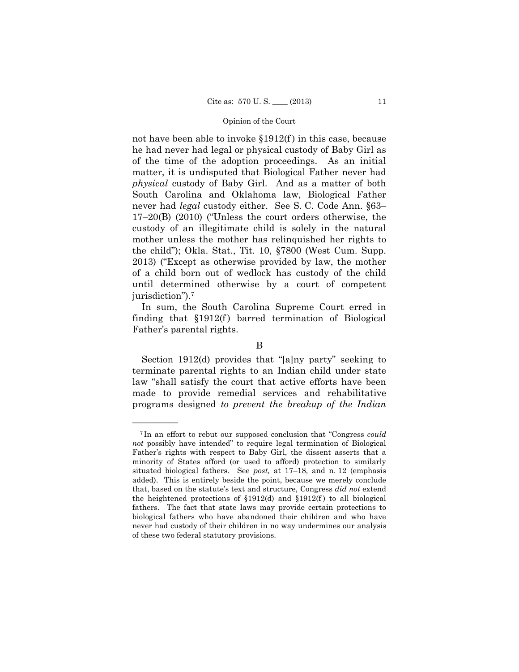until determined otherwise by a court of competent not have been able to invoke  $\S 1912(f)$  in this case, because he had never had legal or physical custody of Baby Girl as of the time of the adoption proceedings. As an initial matter, it is undisputed that Biological Father never had *physical* custody of Baby Girl. And as a matter of both South Carolina and Oklahoma law, Biological Father never had *legal* custody either. See S. C. Code Ann. §63– 17–20(B) (2010) ("Unless the court orders otherwise, the custody of an illegitimate child is solely in the natural mother unless the mother has relinquished her rights to the child"); Okla. Stat., Tit. 10, §7800 (West Cum. Supp. 2013) ("Except as otherwise provided by law, the mother of a child born out of wedlock has custody of the child jurisdiction").7

In sum, the South Carolina Supreme Court erred in finding that  $$1912(f)$  barred termination of Biological Father's parental rights.

B

Section 1912(d) provides that "[a]ny party" seeking to terminate parental rights to an Indian child under state law "shall satisfy the court that active efforts have been made to provide remedial services and rehabilitative programs designed *to prevent the breakup of the Indian* 

 Father's rights with respect to Baby Girl, the dissent asserts that a <sup>7</sup> In an effort to rebut our supposed conclusion that "Congress *could not* possibly have intended" to require legal termination of Biological minority of States afford (or used to afford) protection to similarly situated biological fathers. See *post,* at 17–18, and n. 12 (emphasis added). This is entirely beside the point, because we merely conclude that, based on the statute's text and structure, Congress *did not* extend the heightened protections of  $$1912(d)$  and  $$1912(f)$  to all biological fathers. The fact that state laws may provide certain protections to biological fathers who have abandoned their children and who have never had custody of their children in no way undermines our analysis of these two federal statutory provisions.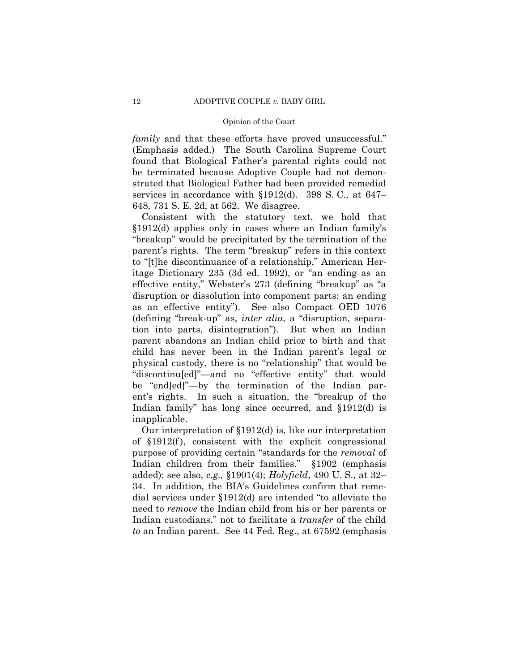*family* and that these efforts have proved unsuccessful." (Emphasis added.) The South Carolina Supreme Court found that Biological Father's parental rights could not be terminated because Adoptive Couple had not demonstrated that Biological Father had been provided remedial services in accordance with §1912(d). 398 S. C., at 647– 648, 731 S. E. 2d, at 562. We disagree.

Consistent with the statutory text, we hold that §1912(d) applies only in cases where an Indian family's "breakup" would be precipitated by the termination of the parent's rights. The term "breakup" refers in this context to "[t]he discontinuance of a relationship," American Heritage Dictionary 235 (3d ed. 1992), or "an ending as an effective entity," Webster's 273 (defining "breakup" as "a disruption or dissolution into component parts: an ending as an effective entity"). See also Compact OED 1076 (defining "break-up" as, *inter alia*, a "disruption, separation into parts, disintegration"). But when an Indian parent abandons an Indian child prior to birth and that child has never been in the Indian parent's legal or physical custody, there is no "relationship" that would be "discontinu[ed]"—and no "effective entity" that would be "end[ed]"—by the termination of the Indian parent's rights. In such a situation, the "breakup of the Indian family" has long since occurred, and §1912(d) is inapplicable.

Our interpretation of §1912(d) is, like our interpretation of §1912(f ), consistent with the explicit congressional purpose of providing certain "standards for the *removal* of Indian children from their families." §1902 (emphasis added); see also, *e.g.,* §1901(4); *Holyfield*, 490 U. S., at 32– 34. In addition, the BIA's Guidelines confirm that remedial services under §1912(d) are intended "to alleviate the need to *remove* the Indian child from his or her parents or Indian custodians," not to facilitate a *transfer* of the child *to* an Indian parent. See 44 Fed. Reg., at 67592 (emphasis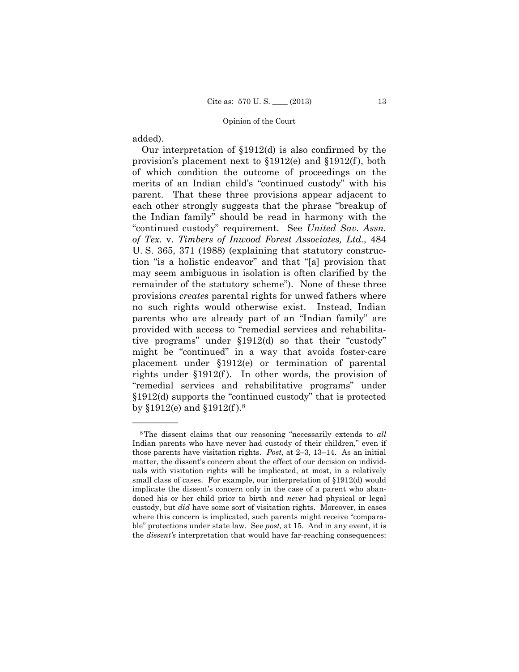added).

——————

Our interpretation of §1912(d) is also confirmed by the provision's placement next to §1912(e) and §1912(f ), both of which condition the outcome of proceedings on the merits of an Indian child's "continued custody" with his parent. That these three provisions appear adjacent to each other strongly suggests that the phrase "breakup of the Indian family" should be read in harmony with the "continued custody" requirement. See *United Sav. Assn. of Tex.* v. *Timbers of Inwood Forest Associates, Ltd.*, 484 U. S. 365, 371 (1988) (explaining that statutory construction "is a holistic endeavor" and that "[a] provision that may seem ambiguous in isolation is often clarified by the remainder of the statutory scheme"). None of these three provisions *creates* parental rights for unwed fathers where no such rights would otherwise exist. Instead, Indian parents who are already part of an "Indian family" are provided with access to "remedial services and rehabilitative programs" under §1912(d) so that their "custody" might be "continued" in a way that avoids foster-care placement under §1912(e) or termination of parental rights under §1912(f). In other words, the provision of "remedial services and rehabilitative programs" under §1912(d) supports the "continued custody" that is protected by §1912(e) and §1912(f ).8

 those parents have visitation rights. *Post,* at 2–3, 13–14. As an initial 8The dissent claims that our reasoning "necessarily extends to *all*  Indian parents who have never had custody of their children," even if matter, the dissent's concern about the effect of our decision on individuals with visitation rights will be implicated, at most, in a relatively small class of cases. For example, our interpretation of §1912(d) would implicate the dissent's concern only in the case of a parent who abandoned his or her child prior to birth and *never* had physical or legal custody, but *did* have some sort of visitation rights. Moreover, in cases where this concern is implicated, such parents might receive "comparable" protections under state law. See *post,* at 15. And in any event, it is the *dissent's* interpretation that would have far-reaching consequences: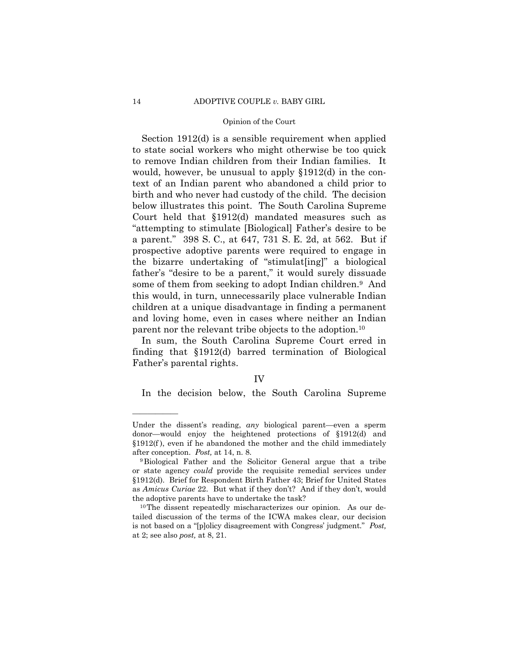Section 1912(d) is a sensible requirement when applied to state social workers who might otherwise be too quick to remove Indian children from their Indian families. It would, however, be unusual to apply §1912(d) in the context of an Indian parent who abandoned a child prior to birth and who never had custody of the child. The decision below illustrates this point. The South Carolina Supreme Court held that §1912(d) mandated measures such as "attempting to stimulate [Biological] Father's desire to be a parent." 398 S. C., at 647, 731 S. E. 2d, at 562. But if prospective adoptive parents were required to engage in the bizarre undertaking of "stimulat[ing]" a biological father's "desire to be a parent," it would surely dissuade some of them from seeking to adopt Indian children.9 And this would, in turn, unnecessarily place vulnerable Indian children at a unique disadvantage in finding a permanent and loving home, even in cases where neither an Indian parent nor the relevant tribe objects to the adoption.10

In sum, the South Carolina Supreme Court erred in finding that §1912(d) barred termination of Biological Father's parental rights.

# IV

In the decision below, the South Carolina Supreme

Under the dissent's reading, *any* biological parent—even a sperm donor—would enjoy the heightened protections of §1912(d) and §1912(f ), even if he abandoned the mother and the child immediately after conception. *Post*, at 14, n. 8. <sup>9</sup>Biological Father and the Solicitor General argue that a tribe

or state agency *could* provide the requisite remedial services under §1912(d). Brief for Respondent Birth Father 43; Brief for United States as *Amicus Curiae* 22. But what if they don't? And if they don't, would the adoptive parents have to undertake the task?<br><sup>10</sup>The dissent repeatedly mischaracterizes our opinion. As our de-

 is not based on a "[p]olicy disagreement with Congress' judgment." *Post,*  tailed discussion of the terms of the ICWA makes clear, our decision at 2; see also *post,* at 8, 21.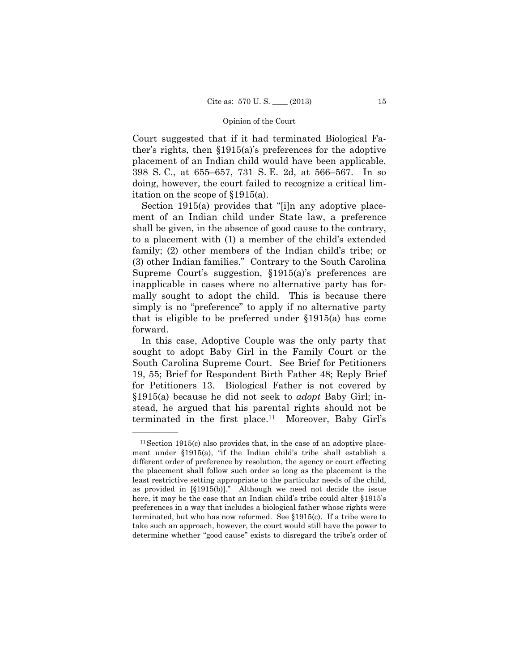Court suggested that if it had terminated Biological Father's rights, then §1915(a)'s preferences for the adoptive placement of an Indian child would have been applicable. 398 S. C., at 655–657, 731 S. E. 2d, at 566–567. In so doing, however, the court failed to recognize a critical limitation on the scope of §1915(a).

Section 1915(a) provides that "[i]n any adoptive placement of an Indian child under State law, a preference shall be given, in the absence of good cause to the contrary, to a placement with (1) a member of the child's extended family; (2) other members of the Indian child's tribe; or (3) other Indian families." Contrary to the South Carolina Supreme Court's suggestion, §1915(a)'s preferences are inapplicable in cases where no alternative party has formally sought to adopt the child. This is because there simply is no "preference" to apply if no alternative party that is eligible to be preferred under §1915(a) has come forward.

In this case, Adoptive Couple was the only party that sought to adopt Baby Girl in the Family Court or the South Carolina Supreme Court. See Brief for Petitioners 19, 55; Brief for Respondent Birth Father 48; Reply Brief for Petitioners 13. Biological Father is not covered by §1915(a) because he did not seek to *adopt* Baby Girl; instead, he argued that his parental rights should not be terminated in the first place.11 Moreover, Baby Girl's

 $11$  Section 1915(c) also provides that, in the case of an adoptive placement under §1915(a), "if the Indian child's tribe shall establish a different order of preference by resolution, the agency or court effecting the placement shall follow such order so long as the placement is the least restrictive setting appropriate to the particular needs of the child, as provided in [§1915(b)]." Although we need not decide the issue here, it may be the case that an Indian child's tribe could alter §1915's preferences in a way that includes a biological father whose rights were terminated, but who has now reformed. See §1915(c). If a tribe were to take such an approach, however, the court would still have the power to determine whether "good cause" exists to disregard the tribe's order of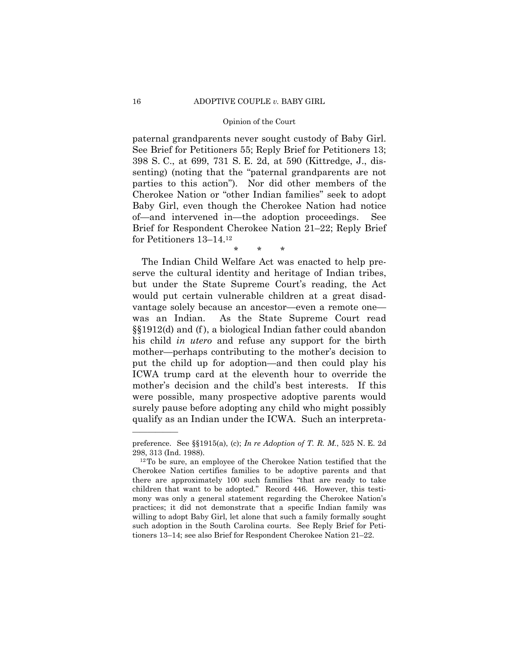paternal grandparents never sought custody of Baby Girl. See Brief for Petitioners 55; Reply Brief for Petitioners 13; 398 S. C., at 699, 731 S. E. 2d, at 590 (Kittredge, J., dissenting) (noting that the "paternal grandparents are not parties to this action"). Nor did other members of the Cherokee Nation or "other Indian families" seek to adopt Baby Girl, even though the Cherokee Nation had notice of—and intervened in—the adoption proceedings. See Brief for Respondent Cherokee Nation 21–22; Reply Brief for Petitioners 13–14.12

\* \* \*

The Indian Child Welfare Act was enacted to help preserve the cultural identity and heritage of Indian tribes, but under the State Supreme Court's reading, the Act would put certain vulnerable children at a great disadvantage solely because an ancestor—even a remote one was an Indian. As the State Supreme Court read §§1912(d) and (f ), a biological Indian father could abandon his child *in utero* and refuse any support for the birth mother—perhaps contributing to the mother's decision to put the child up for adoption—and then could play his ICWA trump card at the eleventh hour to override the mother's decision and the child's best interests. If this were possible, many prospective adoptive parents would surely pause before adopting any child who might possibly qualify as an Indian under the ICWA. Such an interpreta-

preference. See §§1915(a), (c); *In re Adoption of T. R. M.*, 525 N. E. 2d 298, 313 (Ind. 1988).  $12 \text{ To be sure, an employee of the Cherokee Nation testified that the}$ 

Cherokee Nation certifies families to be adoptive parents and that there are approximately 100 such families "that are ready to take children that want to be adopted." Record 446. However, this testimony was only a general statement regarding the Cherokee Nation's practices; it did not demonstrate that a specific Indian family was willing to adopt Baby Girl, let alone that such a family formally sought such adoption in the South Carolina courts. See Reply Brief for Petitioners 13–14; see also Brief for Respondent Cherokee Nation 21–22.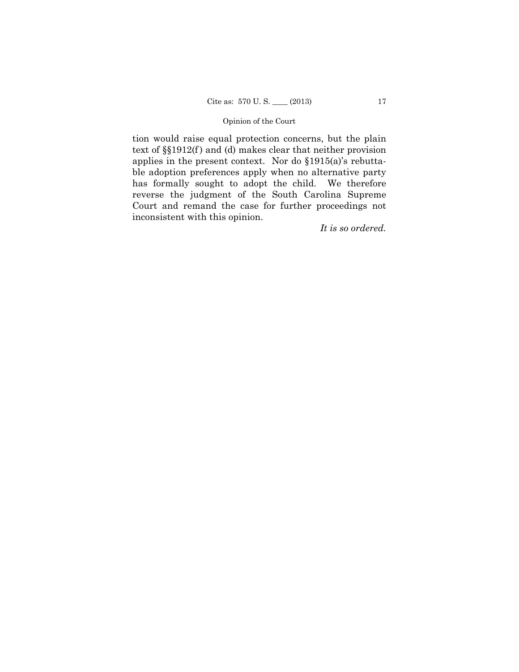tion would raise equal protection concerns, but the plain text of  $\S(1912(f)$  and (d) makes clear that neither provision applies in the present context. Nor do §1915(a)'s rebuttable adoption preferences apply when no alternative party has formally sought to adopt the child. We therefore reverse the judgment of the South Carolina Supreme Court and remand the case for further proceedings not inconsistent with this opinion.

*It is so ordered.*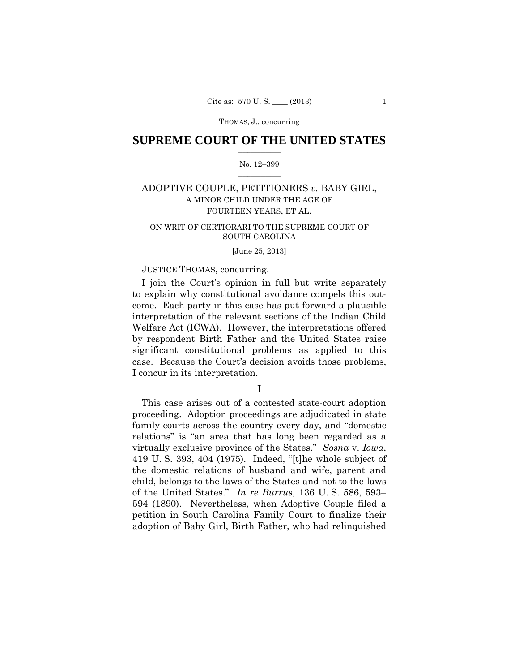# $\frac{1}{2}$  , where  $\frac{1}{2}$ **SUPREME COURT OF THE UNITED STATES**

# $\frac{1}{2}$  ,  $\frac{1}{2}$  ,  $\frac{1}{2}$  ,  $\frac{1}{2}$  ,  $\frac{1}{2}$  ,  $\frac{1}{2}$ No. 12–399

# ADOPTIVE COUPLE, PETITIONERS *v.* BABY GIRL, A MINOR CHILD UNDER THE AGE OF FOURTEEN YEARS, ET AL.

# ON WRIT OF CERTIORARI TO THE SUPREME COURT OF SOUTH CAROLINA

# [June 25, 2013]

# JUSTICE THOMAS, concurring.

I join the Court's opinion in full but write separately to explain why constitutional avoidance compels this outcome. Each party in this case has put forward a plausible interpretation of the relevant sections of the Indian Child Welfare Act (ICWA). However, the interpretations offered by respondent Birth Father and the United States raise significant constitutional problems as applied to this case. Because the Court's decision avoids those problems, I concur in its interpretation.

I

This case arises out of a contested state-court adoption proceeding. Adoption proceedings are adjudicated in state family courts across the country every day, and "domestic relations" is "an area that has long been regarded as a virtually exclusive province of the States." *Sosna* v. *Iowa*, 419 U. S. 393, 404 (1975). Indeed, "[t]he whole subject of the domestic relations of husband and wife, parent and child, belongs to the laws of the States and not to the laws of the United States." *In re Burrus*, 136 U. S. 586, 593– 594 (1890). Nevertheless, when Adoptive Couple filed a petition in South Carolina Family Court to finalize their adoption of Baby Girl, Birth Father, who had relinquished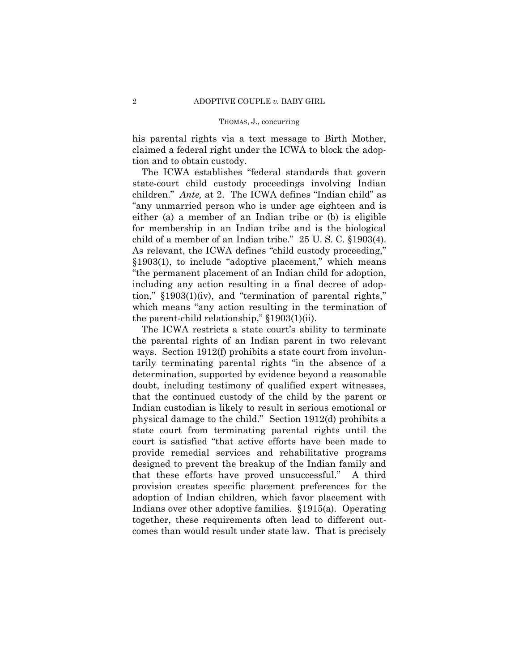his parental rights via a text message to Birth Mother, claimed a federal right under the ICWA to block the adoption and to obtain custody.

 child of a member of an Indian tribe." 25 U. S. C. §1903(4). The ICWA establishes "federal standards that govern state-court child custody proceedings involving Indian children." *Ante,* at 2. The ICWA defines "Indian child" as "any unmarried person who is under age eighteen and is either (a) a member of an Indian tribe or (b) is eligible for membership in an Indian tribe and is the biological As relevant, the ICWA defines "child custody proceeding," §1903(1), to include "adoptive placement," which means "the permanent placement of an Indian child for adoption, including any action resulting in a final decree of adoption," §1903(1)(iv), and "termination of parental rights," which means "any action resulting in the termination of the parent-child relationship," §1903(1)(ii).

 comes than would result under state law. That is precisely The ICWA restricts a state court's ability to terminate the parental rights of an Indian parent in two relevant ways. Section 1912(f) prohibits a state court from involuntarily terminating parental rights "in the absence of a determination, supported by evidence beyond a reasonable doubt, including testimony of qualified expert witnesses, that the continued custody of the child by the parent or Indian custodian is likely to result in serious emotional or physical damage to the child." Section 1912(d) prohibits a state court from terminating parental rights until the court is satisfied "that active efforts have been made to provide remedial services and rehabilitative programs designed to prevent the breakup of the Indian family and that these efforts have proved unsuccessful." A third provision creates specific placement preferences for the adoption of Indian children, which favor placement with Indians over other adoptive families. §1915(a). Operating together, these requirements often lead to different out-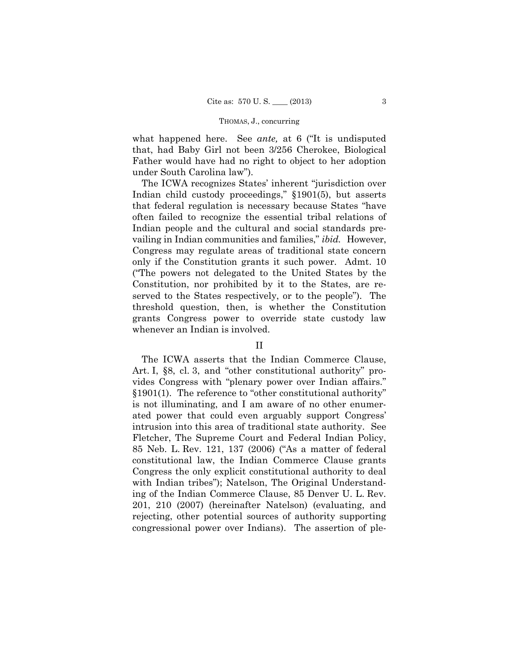what happened here. See *ante,* at 6 ("It is undisputed that, had Baby Girl not been 3/256 Cherokee, Biological Father would have had no right to object to her adoption under South Carolina law").

The ICWA recognizes States' inherent "jurisdiction over Indian child custody proceedings," §1901(5), but asserts that federal regulation is necessary because States "have often failed to recognize the essential tribal relations of Indian people and the cultural and social standards prevailing in Indian communities and families," *ibid.* However, Congress may regulate areas of traditional state concern only if the Constitution grants it such power. Admt. 10 ("The powers not delegated to the United States by the Constitution, nor prohibited by it to the States, are reserved to the States respectively, or to the people"). The threshold question, then, is whether the Constitution grants Congress power to override state custody law whenever an Indian is involved.

# II

The ICWA asserts that the Indian Commerce Clause, Art. I, §8, cl. 3, and "other constitutional authority" provides Congress with "plenary power over Indian affairs." §1901(1). The reference to "other constitutional authority" is not illuminating, and I am aware of no other enumerated power that could even arguably support Congress' intrusion into this area of traditional state authority. See Fletcher, The Supreme Court and Federal Indian Policy, 85 Neb. L. Rev. 121, 137 (2006) ("As a matter of federal constitutional law, the Indian Commerce Clause grants Congress the only explicit constitutional authority to deal with Indian tribes"); Natelson, The Original Understanding of the Indian Commerce Clause, 85 Denver U. L. Rev. 201, 210 (2007) (hereinafter Natelson) (evaluating, and rejecting, other potential sources of authority supporting congressional power over Indians). The assertion of ple-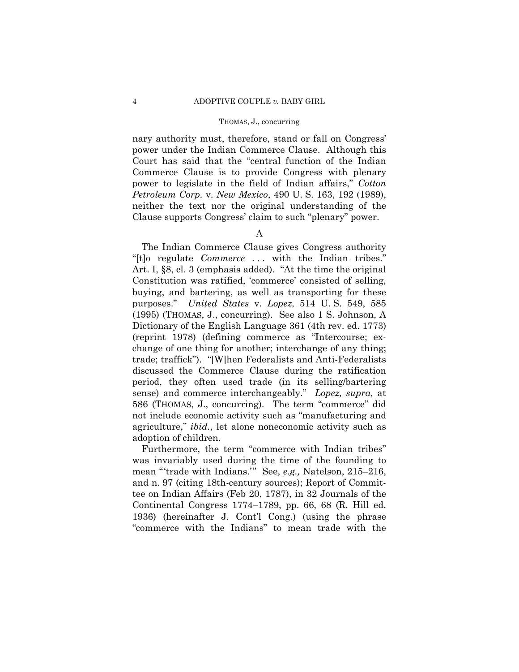nary authority must, therefore, stand or fall on Congress' power under the Indian Commerce Clause. Although this Court has said that the "central function of the Indian Commerce Clause is to provide Congress with plenary power to legislate in the field of Indian affairs," *Cotton Petroleum Corp.* v. *New Mexico*, 490 U. S. 163, 192 (1989), neither the text nor the original understanding of the Clause supports Congress' claim to such "plenary" power.

# A

The Indian Commerce Clause gives Congress authority "[t]o regulate *Commerce* . . . with the Indian tribes." Art. I, §8, cl. 3 (emphasis added). "At the time the original Constitution was ratified, 'commerce' consisted of selling, buying, and bartering, as well as transporting for these purposes." *United States* v. *Lopez*, 514 U. S. 549, 585 (1995) (THOMAS, J., concurring). See also 1 S. Johnson, A Dictionary of the English Language 361 (4th rev. ed. 1773) (reprint 1978) (defining commerce as "Intercourse; exchange of one thing for another; interchange of any thing; trade; traffick"). "[W]hen Federalists and Anti-Federalists discussed the Commerce Clause during the ratification period, they often used trade (in its selling/bartering sense) and commerce interchangeably." *Lopez, supra,* at 586 (THOMAS, J., concurring). The term "commerce" did not include economic activity such as "manufacturing and agriculture," *ibid.*, let alone noneconomic activity such as adoption of children.

Furthermore, the term "commerce with Indian tribes" was invariably used during the time of the founding to mean "'trade with Indians.'" See, *e.g.,* Natelson, 215–216, and n. 97 (citing 18th-century sources); Report of Committee on Indian Affairs (Feb 20, 1787), in 32 Journals of the Continental Congress 1774–1789, pp. 66, 68 (R. Hill ed. 1936) (hereinafter J. Cont'l Cong.) (using the phrase "commerce with the Indians" to mean trade with the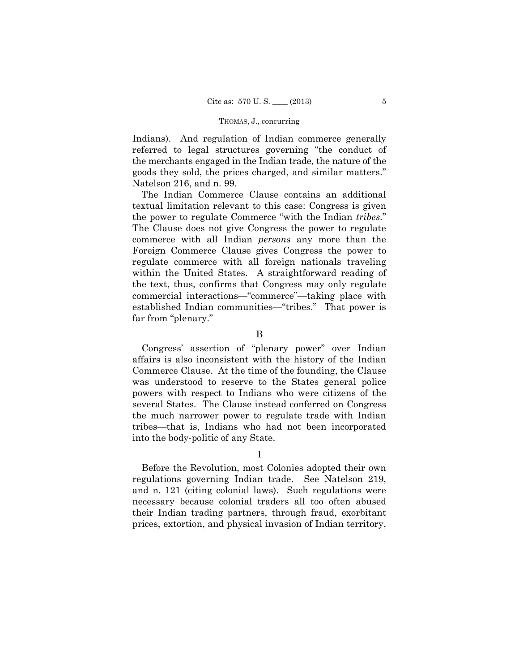Indians). And regulation of Indian commerce generally referred to legal structures governing "the conduct of the merchants engaged in the Indian trade, the nature of the goods they sold, the prices charged, and similar matters." Natelson 216, and n. 99.

 established Indian communities—"tribes." That power is The Indian Commerce Clause contains an additional textual limitation relevant to this case: Congress is given the power to regulate Commerce "with the Indian *tribes*." The Clause does not give Congress the power to regulate commerce with all Indian *persons* any more than the Foreign Commerce Clause gives Congress the power to regulate commerce with all foreign nationals traveling within the United States. A straightforward reading of the text, thus, confirms that Congress may only regulate commercial interactions—"commerce"—taking place with far from "plenary."

B

Congress' assertion of "plenary power" over Indian affairs is also inconsistent with the history of the Indian Commerce Clause. At the time of the founding, the Clause was understood to reserve to the States general police powers with respect to Indians who were citizens of the several States. The Clause instead conferred on Congress the much narrower power to regulate trade with Indian tribes—that is, Indians who had not been incorporated into the body-politic of any State.

1

Before the Revolution, most Colonies adopted their own regulations governing Indian trade. See Natelson 219, and n. 121 (citing colonial laws). Such regulations were necessary because colonial traders all too often abused their Indian trading partners, through fraud, exorbitant prices, extortion, and physical invasion of Indian territory,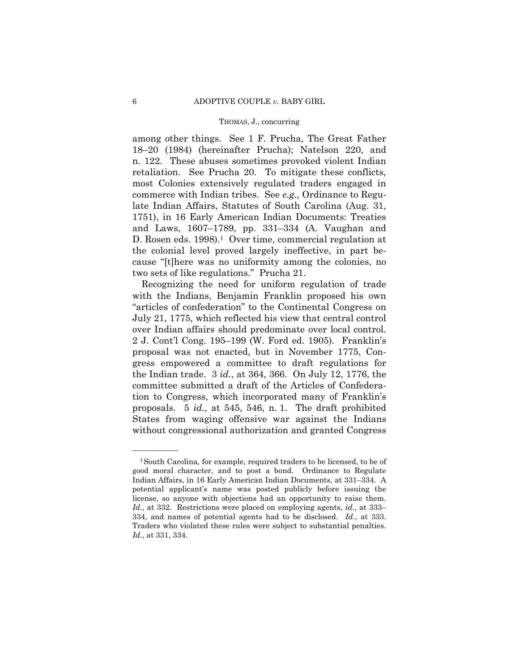D. Rosen eds. 1998).<sup>1</sup> Over time, commercial regulation at among other things. See 1 F. Prucha, The Great Father 18–20 (1984) (hereinafter Prucha); Natelson 220, and n. 122. These abuses sometimes provoked violent Indian retaliation. See Prucha 20. To mitigate these conflicts, most Colonies extensively regulated traders engaged in commerce with Indian tribes. See *e.g.,* Ordinance to Regulate Indian Affairs, Statutes of South Carolina (Aug. 31, 1751), in 16 Early American Indian Documents: Treaties and Laws, 1607–1789, pp. 331–334 (A. Vaughan and the colonial level proved largely ineffective, in part because "[t]here was no uniformity among the colonies, no two sets of like regulations." Prucha 21.

Recognizing the need for uniform regulation of trade with the Indians, Benjamin Franklin proposed his own "articles of confederation" to the Continental Congress on July 21, 1775, which reflected his view that central control over Indian affairs should predominate over local control. 2 J. Cont'l Cong. 195–199 (W. Ford ed. 1905). Franklin's proposal was not enacted, but in November 1775, Congress empowered a committee to draft regulations for the Indian trade. 3 *id.*, at 364, 366. On July 12, 1776, the committee submitted a draft of the Articles of Confederation to Congress, which incorporated many of Franklin's proposals. 5 *id.,* at 545, 546, n. 1. The draft prohibited States from waging offensive war against the Indians without congressional authorization and granted Congress

 license, so anyone with objections had an opportunity to raise them. 1South Carolina, for example, required traders to be licensed, to be of good moral character, and to post a bond. Ordinance to Regulate Indian Affairs, in 16 Early American Indian Documents, at 331–334. A potential applicant's name was posted publicly before issuing the *Id.*, at 332. Restrictions were placed on employing agents, *id.*, at 333– 334, and names of potential agents had to be disclosed. *Id.*, at 333. Traders who violated these rules were subject to substantial penalties. *Id.*, at 331, 334.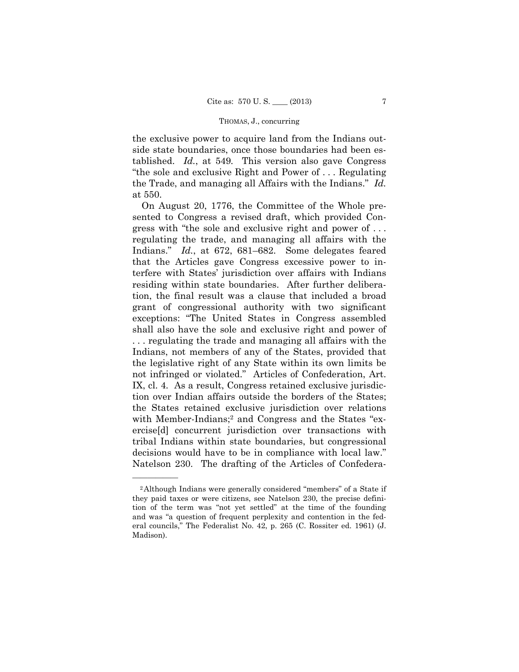the exclusive power to acquire land from the Indians outside state boundaries, once those boundaries had been established. *Id.*, at 549*.* This version also gave Congress "the sole and exclusive Right and Power of . . . Regulating the Trade, and managing all Affairs with the Indians." *Id.*  at 550.

On August 20, 1776, the Committee of the Whole presented to Congress a revised draft, which provided Congress with "the sole and exclusive right and power of . . . regulating the trade, and managing all affairs with the Indians." *Id.*, at 672, 681–682. Some delegates feared that the Articles gave Congress excessive power to interfere with States' jurisdiction over affairs with Indians residing within state boundaries. After further deliberation, the final result was a clause that included a broad grant of congressional authority with two significant exceptions: "The United States in Congress assembled shall also have the sole and exclusive right and power of . . . regulating the trade and managing all affairs with the Indians, not members of any of the States, provided that the legislative right of any State within its own limits be not infringed or violated." Articles of Confederation, Art. IX, cl. 4. As a result, Congress retained exclusive jurisdiction over Indian affairs outside the borders of the States; the States retained exclusive jurisdiction over relations with Member-Indians;<sup>2</sup> and Congress and the States "exercise[d] concurrent jurisdiction over transactions with tribal Indians within state boundaries, but congressional decisions would have to be in compliance with local law." Natelson 230. The drafting of the Articles of Confedera-

<sup>2</sup>Although Indians were generally considered "members" of a State if they paid taxes or were citizens, see Natelson 230, the precise definition of the term was "not yet settled" at the time of the founding and was "a question of frequent perplexity and contention in the federal councils," The Federalist No. 42, p. 265 (C. Rossiter ed. 1961) (J. Madison).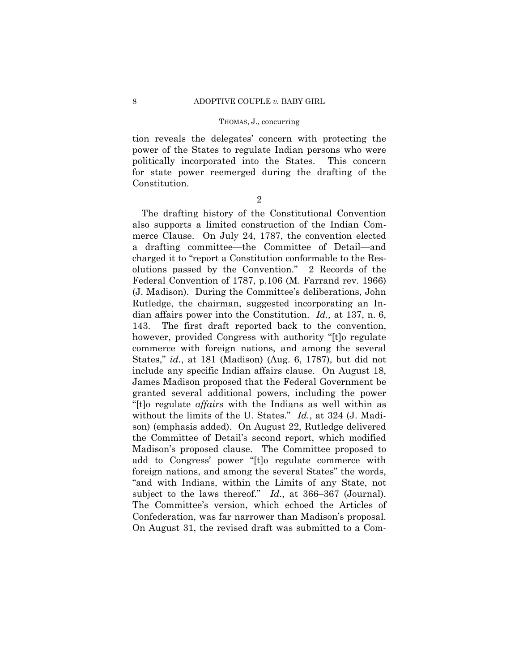tion reveals the delegates' concern with protecting the power of the States to regulate Indian persons who were politically incorporated into the States. This concern for state power reemerged during the drafting of the Constitution.

2

The drafting history of the Constitutional Convention also supports a limited construction of the Indian Commerce Clause. On July 24, 1787, the convention elected a drafting committee—the Committee of Detail—and charged it to "report a Constitution conformable to the Resolutions passed by the Convention." 2 Records of the Federal Convention of 1787, p.106 (M. Farrand rev. 1966) (J. Madison). During the Committee's deliberations, John Rutledge, the chairman, suggested incorporating an Indian affairs power into the Constitution. *Id.,* at 137, n. 6, 143. The first draft reported back to the convention, however, provided Congress with authority "[t]o regulate commerce with foreign nations, and among the several States," *id.*, at 181 (Madison) (Aug. 6, 1787), but did not include any specific Indian affairs clause. On August 18, James Madison proposed that the Federal Government be granted several additional powers, including the power "[t]o regulate *affairs* with the Indians as well within as without the limits of the U. States." *Id.*, at 324 (J. Madison) (emphasis added). On August 22, Rutledge delivered the Committee of Detail's second report, which modified Madison's proposed clause. The Committee proposed to add to Congress' power "[t]o regulate commerce with foreign nations, and among the several States" the words, "and with Indians, within the Limits of any State, not subject to the laws thereof." *Id.*, at 366–367 (Journal). The Committee's version, which echoed the Articles of Confederation, was far narrower than Madison's proposal. On August 31, the revised draft was submitted to a Com-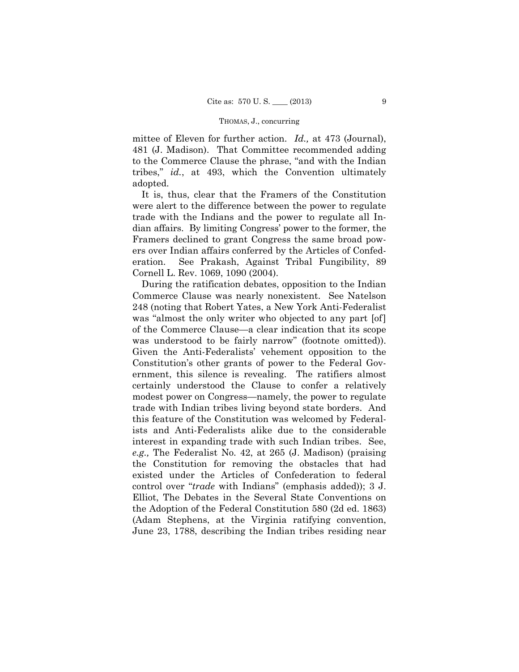mittee of Eleven for further action. *Id.,* at 473 (Journal), 481 (J. Madison). That Committee recommended adding to the Commerce Clause the phrase, "and with the Indian tribes," *id.*, at 493, which the Convention ultimately adopted.

It is, thus, clear that the Framers of the Constitution were alert to the difference between the power to regulate trade with the Indians and the power to regulate all Indian affairs. By limiting Congress' power to the former, the Framers declined to grant Congress the same broad powers over Indian affairs conferred by the Articles of Confederation. See Prakash, Against Tribal Fungibility, 89 Cornell L. Rev. 1069, 1090 (2004).

During the ratification debates, opposition to the Indian Commerce Clause was nearly nonexistent. See Natelson 248 (noting that Robert Yates, a New York Anti-Federalist was "almost the only writer who objected to any part [of] of the Commerce Clause—a clear indication that its scope was understood to be fairly narrow" (footnote omitted)). Given the Anti-Federalists' vehement opposition to the Constitution's other grants of power to the Federal Government, this silence is revealing. The ratifiers almost certainly understood the Clause to confer a relatively modest power on Congress—namely, the power to regulate trade with Indian tribes living beyond state borders. And this feature of the Constitution was welcomed by Federalists and Anti-Federalists alike due to the considerable interest in expanding trade with such Indian tribes. See, *e.g.,* The Federalist No. 42, at 265 (J. Madison) (praising the Constitution for removing the obstacles that had existed under the Articles of Confederation to federal control over "*trade* with Indians" (emphasis added)); 3 J. Elliot, The Debates in the Several State Conventions on the Adoption of the Federal Constitution 580 (2d ed. 1863) (Adam Stephens, at the Virginia ratifying convention, June 23, 1788, describing the Indian tribes residing near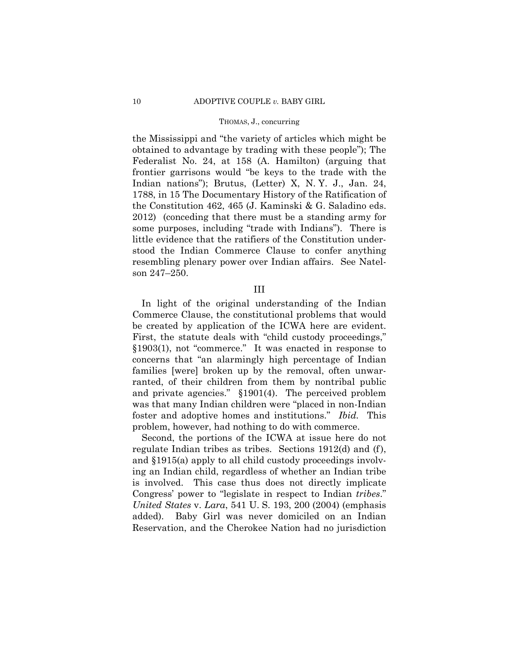the Mississippi and "the variety of articles which might be obtained to advantage by trading with these people"); The Federalist No. 24, at 158 (A. Hamilton) (arguing that frontier garrisons would "be keys to the trade with the Indian nations"); Brutus, (Letter) X, N. Y. J., Jan. 24, 1788, in 15 The Documentary History of the Ratification of the Constitution 462, 465 (J. Kaminski & G. Saladino eds. 2012) (conceding that there must be a standing army for some purposes, including "trade with Indians"). There is little evidence that the ratifiers of the Constitution understood the Indian Commerce Clause to confer anything resembling plenary power over Indian affairs. See Natelson 247–250.

III

In light of the original understanding of the Indian Commerce Clause, the constitutional problems that would be created by application of the ICWA here are evident. First, the statute deals with "child custody proceedings," §1903(1), not "commerce." It was enacted in response to concerns that "an alarmingly high percentage of Indian families [were] broken up by the removal, often unwarranted, of their children from them by nontribal public and private agencies." §1901(4). The perceived problem was that many Indian children were "placed in non-Indian foster and adoptive homes and institutions." *Ibid.* This problem, however, had nothing to do with commerce.

Second, the portions of the ICWA at issue here do not regulate Indian tribes as tribes. Sections 1912(d) and (f), and §1915(a) apply to all child custody proceedings involving an Indian child, regardless of whether an Indian tribe is involved. This case thus does not directly implicate Congress' power to "legislate in respect to Indian *tribes*." *United States* v. *Lara*, 541 U. S. 193, 200 (2004) (emphasis added). Baby Girl was never domiciled on an Indian Reservation, and the Cherokee Nation had no jurisdiction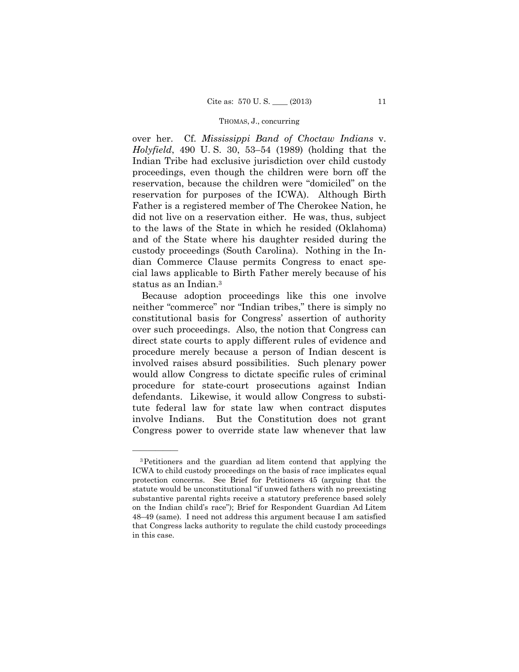Father is a registered member of The Cherokee Nation, he over her. Cf. *Mississippi Band of Choctaw Indians* v. *Holyfield*, 490 U. S. 30, 53–54 (1989) (holding that the Indian Tribe had exclusive jurisdiction over child custody proceedings, even though the children were born off the reservation, because the children were "domiciled" on the reservation for purposes of the ICWA). Although Birth did not live on a reservation either. He was, thus, subject to the laws of the State in which he resided (Oklahoma) and of the State where his daughter resided during the custody proceedings (South Carolina). Nothing in the Indian Commerce Clause permits Congress to enact special laws applicable to Birth Father merely because of his status as an Indian.3

Because adoption proceedings like this one involve neither "commerce" nor "Indian tribes," there is simply no constitutional basis for Congress' assertion of authority over such proceedings. Also, the notion that Congress can direct state courts to apply different rules of evidence and procedure merely because a person of Indian descent is involved raises absurd possibilities. Such plenary power would allow Congress to dictate specific rules of criminal procedure for state-court prosecutions against Indian defendants. Likewise, it would allow Congress to substitute federal law for state law when contract disputes involve Indians. But the Constitution does not grant Congress power to override state law whenever that law

<sup>3</sup>Petitioners and the guardian ad litem contend that applying the ICWA to child custody proceedings on the basis of race implicates equal protection concerns. See Brief for Petitioners 45 (arguing that the statute would be unconstitutional "if unwed fathers with no preexisting substantive parental rights receive a statutory preference based solely on the Indian child's race"); Brief for Respondent Guardian Ad Litem 48–49 (same). I need not address this argument because I am satisfied that Congress lacks authority to regulate the child custody proceedings in this case.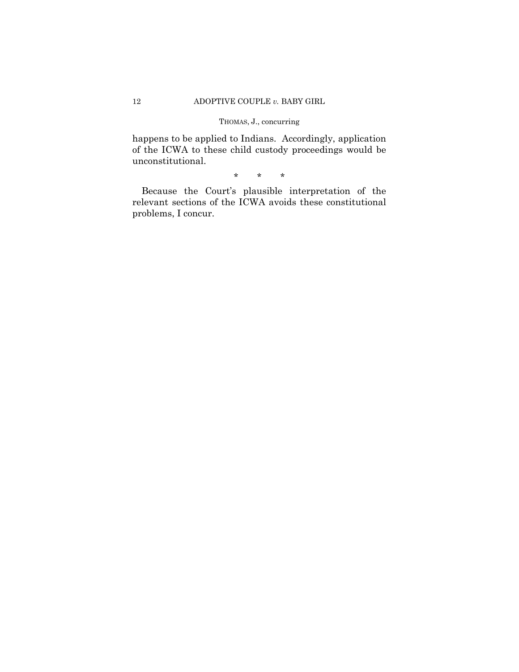happens to be applied to Indians. Accordingly, application of the ICWA to these child custody proceedings would be unconstitutional.

\* \* \*

Because the Court's plausible interpretation of the relevant sections of the ICWA avoids these constitutional problems, I concur.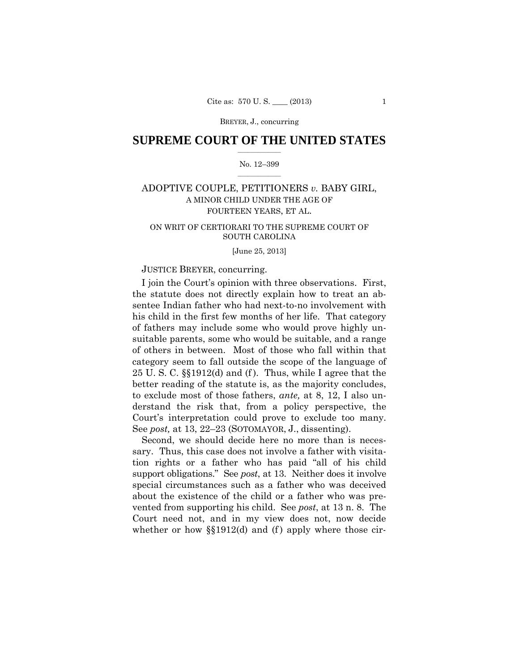BREYER, J., concurring

# $\frac{1}{2}$  , where  $\frac{1}{2}$ **SUPREME COURT OF THE UNITED STATES**

# $\frac{1}{2}$  ,  $\frac{1}{2}$  ,  $\frac{1}{2}$  ,  $\frac{1}{2}$  ,  $\frac{1}{2}$  ,  $\frac{1}{2}$ No. 12–399

# ADOPTIVE COUPLE, PETITIONERS *v.* BABY GIRL, A MINOR CHILD UNDER THE AGE OF FOURTEEN YEARS, ET AL.

# ON WRIT OF CERTIORARI TO THE SUPREME COURT OF SOUTH CAROLINA

[June 25, 2013]

# JUSTICE BREYER, concurring.

 Court's interpretation could prove to exclude too many. See *post,* at 13, 22–23 (SOTOMAYOR, J., dissenting). I join the Court's opinion with three observations. First, the statute does not directly explain how to treat an absentee Indian father who had next-to-no involvement with his child in the first few months of her life. That category of fathers may include some who would prove highly unsuitable parents, some who would be suitable, and a range of others in between. Most of those who fall within that category seem to fall outside the scope of the language of 25 U.S.C.  $\S$ 1912(d) and (f). Thus, while I agree that the better reading of the statute is, as the majority concludes, to exclude most of those fathers, *ante,* at 8, 12, I also understand the risk that, from a policy perspective, the

Second, we should decide here no more than is necessary. Thus, this case does not involve a father with visitation rights or a father who has paid "all of his child support obligations." See *post*, at 13. Neither does it involve special circumstances such as a father who was deceived about the existence of the child or a father who was prevented from supporting his child. See *post*, at 13 n. 8. The Court need not, and in my view does not, now decide whether or how  $\S$ [1912(d) and (f) apply where those cir-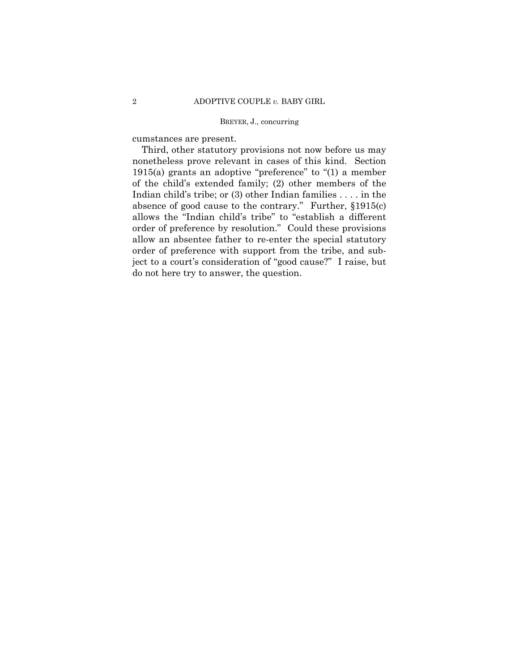# BREYER, J., concurring

cumstances are present.

Third, other statutory provisions not now before us may nonetheless prove relevant in cases of this kind. Section 1915(a) grants an adoptive "preference" to "(1) a member of the child's extended family; (2) other members of the Indian child's tribe; or (3) other Indian families . . . . in the absence of good cause to the contrary." Further, §1915(c) allows the "Indian child's tribe" to "establish a different order of preference by resolution." Could these provisions allow an absentee father to re-enter the special statutory order of preference with support from the tribe, and subject to a court's consideration of "good cause?" I raise, but do not here try to answer, the question.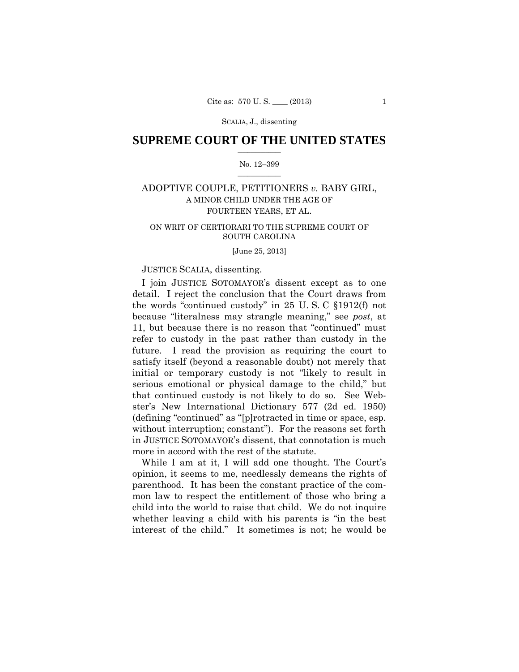SCALIA, J., dissenting

# $\frac{1}{2}$  , where  $\frac{1}{2}$ **SUPREME COURT OF THE UNITED STATES**

# $\frac{1}{2}$  ,  $\frac{1}{2}$  ,  $\frac{1}{2}$  ,  $\frac{1}{2}$  ,  $\frac{1}{2}$  ,  $\frac{1}{2}$ No. 12–399

# ADOPTIVE COUPLE, PETITIONERS *v.* BABY GIRL, A MINOR CHILD UNDER THE AGE OF FOURTEEN YEARS, ET AL.

# ON WRIT OF CERTIORARI TO THE SUPREME COURT OF SOUTH CAROLINA

[June 25, 2013]

# JUSTICE SCALIA, dissenting.

I join JUSTICE SOTOMAYOR's dissent except as to one detail. I reject the conclusion that the Court draws from the words "continued custody" in 25 U. S. C §1912(f) not because "literalness may strangle meaning," see *post*, at 11, but because there is no reason that "continued" must refer to custody in the past rather than custody in the future. I read the provision as requiring the court to satisfy itself (beyond a reasonable doubt) not merely that initial or temporary custody is not "likely to result in serious emotional or physical damage to the child," but that continued custody is not likely to do so. See Webster's New International Dictionary 577 (2d ed. 1950) (defining "continued" as "[p]rotracted in time or space, esp. without interruption; constant"). For the reasons set forth in JUSTICE SOTOMAYOR's dissent, that connotation is much more in accord with the rest of the statute.

While I am at it, I will add one thought. The Court's opinion, it seems to me, needlessly demeans the rights of parenthood. It has been the constant practice of the common law to respect the entitlement of those who bring a child into the world to raise that child. We do not inquire whether leaving a child with his parents is "in the best interest of the child." It sometimes is not; he would be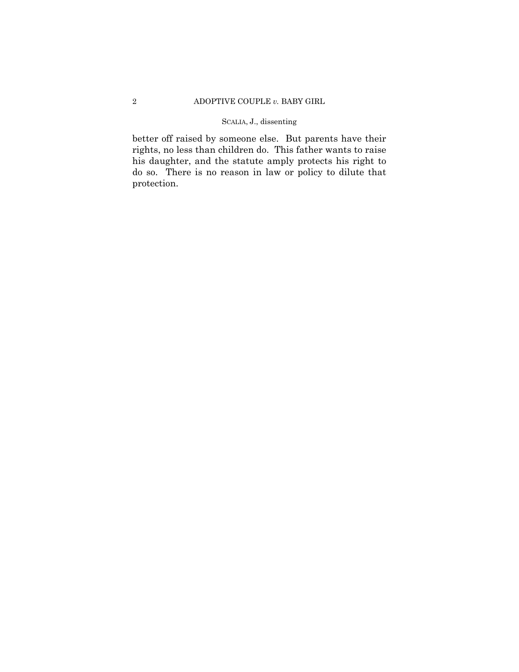# SCALIA, J., dissenting

better off raised by someone else. But parents have their rights, no less than children do. This father wants to raise his daughter, and the statute amply protects his right to do so. There is no reason in law or policy to dilute that protection.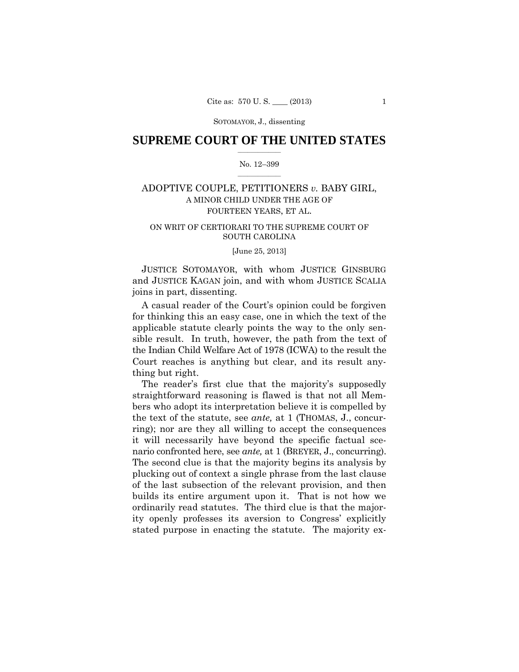# $\frac{1}{2}$  , where  $\frac{1}{2}$ **SUPREME COURT OF THE UNITED STATES**

# $\frac{1}{2}$  ,  $\frac{1}{2}$  ,  $\frac{1}{2}$  ,  $\frac{1}{2}$  ,  $\frac{1}{2}$  ,  $\frac{1}{2}$ No. 12–399

# ADOPTIVE COUPLE, PETITIONERS *v.* BABY GIRL, A MINOR CHILD UNDER THE AGE OF FOURTEEN YEARS, ET AL.

# ON WRIT OF CERTIORARI TO THE SUPREME COURT OF SOUTH CAROLINA

[June 25, 2013]

JUSTICE SOTOMAYOR, with whom JUSTICE GINSBURG and JUSTICE KAGAN join, and with whom JUSTICE SCALIA joins in part, dissenting.

A casual reader of the Court's opinion could be forgiven for thinking this an easy case, one in which the text of the applicable statute clearly points the way to the only sensible result. In truth, however, the path from the text of the Indian Child Welfare Act of 1978 (ICWA) to the result the Court reaches is anything but clear, and its result anything but right.

The reader's first clue that the majority's supposedly straightforward reasoning is flawed is that not all Members who adopt its interpretation believe it is compelled by the text of the statute, see *ante,* at 1 (THOMAS, J., concurring); nor are they all willing to accept the consequences it will necessarily have beyond the specific factual scenario confronted here, see *ante,* at 1 (BREYER, J., concurring). The second clue is that the majority begins its analysis by plucking out of context a single phrase from the last clause of the last subsection of the relevant provision, and then builds its entire argument upon it. That is not how we ordinarily read statutes. The third clue is that the majority openly professes its aversion to Congress' explicitly stated purpose in enacting the statute. The majority ex-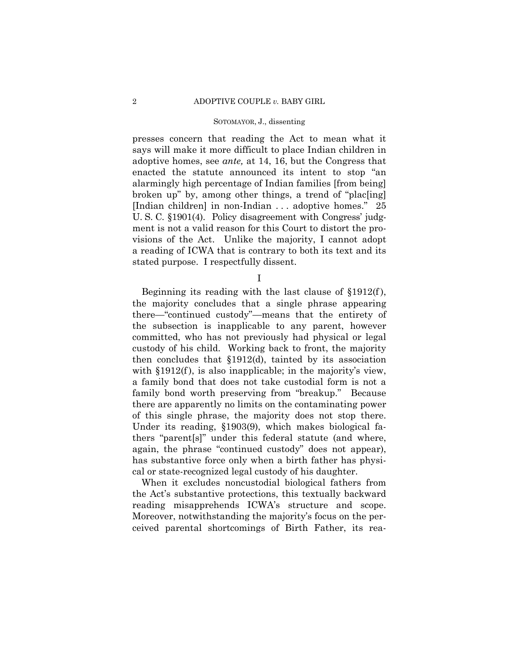presses concern that reading the Act to mean what it says will make it more difficult to place Indian children in adoptive homes, see *ante,* at 14, 16, but the Congress that enacted the statute announced its intent to stop "an alarmingly high percentage of Indian families [from being] broken up" by, among other things, a trend of "plac[ing] [Indian children] in non-Indian . . . adoptive homes." 25 U. S. C. §1901(4). Policy disagreement with Congress' judgment is not a valid reason for this Court to distort the provisions of the Act. Unlike the majority, I cannot adopt a reading of ICWA that is contrary to both its text and its stated purpose. I respectfully dissent.

I

Beginning its reading with the last clause of  $\S 1912(f)$ , the majority concludes that a single phrase appearing there—"continued custody"—means that the entirety of the subsection is inapplicable to any parent, however committed, who has not previously had physical or legal custody of his child. Working back to front, the majority then concludes that §1912(d), tainted by its association with §1912(f), is also inapplicable; in the majority's view, a family bond that does not take custodial form is not a family bond worth preserving from "breakup." Because there are apparently no limits on the contaminating power of this single phrase, the majority does not stop there. Under its reading, §1903(9), which makes biological fathers "parent[s]" under this federal statute (and where, again, the phrase "continued custody" does not appear), has substantive force only when a birth father has physical or state-recognized legal custody of his daughter.

When it excludes noncustodial biological fathers from the Act's substantive protections, this textually backward reading misapprehends ICWA's structure and scope. Moreover, notwithstanding the majority's focus on the perceived parental shortcomings of Birth Father, its rea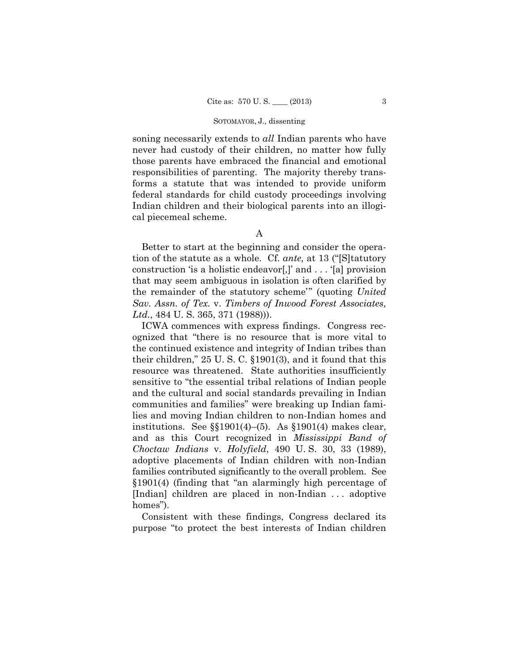soning necessarily extends to *all* Indian parents who have never had custody of their children, no matter how fully those parents have embraced the financial and emotional responsibilities of parenting. The majority thereby transforms a statute that was intended to provide uniform federal standards for child custody proceedings involving Indian children and their biological parents into an illogical piecemeal scheme.

A

Better to start at the beginning and consider the operation of the statute as a whole. Cf. *ante,* at 13 ("[S]tatutory construction 'is a holistic endeavor[,]' and . . . '[a] provision that may seem ambiguous in isolation is often clarified by the remainder of the statutory scheme'" (quoting *United Sav. Assn. of Tex.* v. *Timbers of Inwood Forest Associates, Ltd.*, 484 U. S. 365, 371 (1988))).

ICWA commences with express findings. Congress recognized that "there is no resource that is more vital to the continued existence and integrity of Indian tribes than their children," 25 U. S. C. §1901(3), and it found that this resource was threatened. State authorities insufficiently sensitive to "the essential tribal relations of Indian people and the cultural and social standards prevailing in Indian communities and families" were breaking up Indian families and moving Indian children to non-Indian homes and institutions. See §§1901(4)–(5). As §1901(4) makes clear, and as this Court recognized in *Mississippi Band of Choctaw Indians* v. *Holyfield*, 490 U. S. 30, 33 (1989), adoptive placements of Indian children with non-Indian families contributed significantly to the overall problem. See §1901(4) (finding that "an alarmingly high percentage of [Indian] children are placed in non-Indian . . . adoptive homes").

Consistent with these findings, Congress declared its purpose "to protect the best interests of Indian children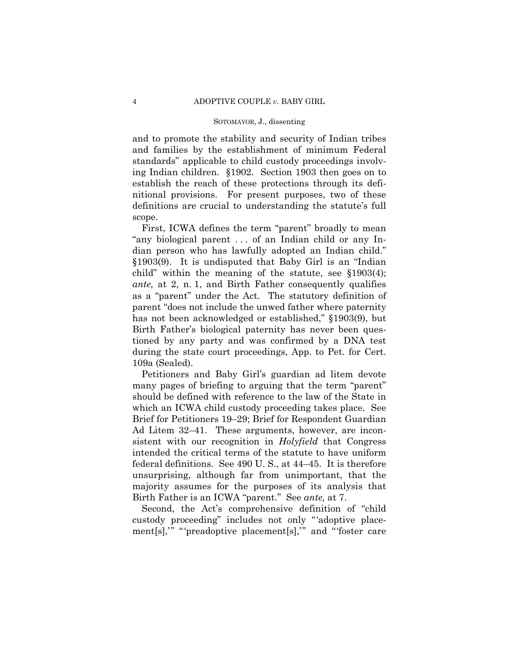and to promote the stability and security of Indian tribes and families by the establishment of minimum Federal standards" applicable to child custody proceedings involving Indian children. §1902. Section 1903 then goes on to establish the reach of these protections through its definitional provisions. For present purposes, two of these definitions are crucial to understanding the statute's full scope.

First, ICWA defines the term "parent" broadly to mean "any biological parent . . . of an Indian child or any Indian person who has lawfully adopted an Indian child." §1903(9). It is undisputed that Baby Girl is an "Indian child" within the meaning of the statute, see §1903(4); *ante,* at 2, n. 1, and Birth Father consequently qualifies as a "parent" under the Act. The statutory definition of parent "does not include the unwed father where paternity has not been acknowledged or established," §1903(9), but Birth Father's biological paternity has never been questioned by any party and was confirmed by a DNA test during the state court proceedings, App. to Pet. for Cert. 109a (Sealed).

Petitioners and Baby Girl's guardian ad litem devote many pages of briefing to arguing that the term "parent" should be defined with reference to the law of the State in which an ICWA child custody proceeding takes place. See Brief for Petitioners 19–29; Brief for Respondent Guardian Ad Litem 32–41. These arguments, however, are inconsistent with our recognition in *Holyfield* that Congress intended the critical terms of the statute to have uniform federal definitions. See 490 U. S., at 44–45. It is therefore unsurprising, although far from unimportant, that the majority assumes for the purposes of its analysis that Birth Father is an ICWA "parent." See *ante,* at 7.

 ment[s],'" "'preadoptive placement[s],'" and "'foster care Second, the Act's comprehensive definition of "child custody proceeding" includes not only "'adoptive place-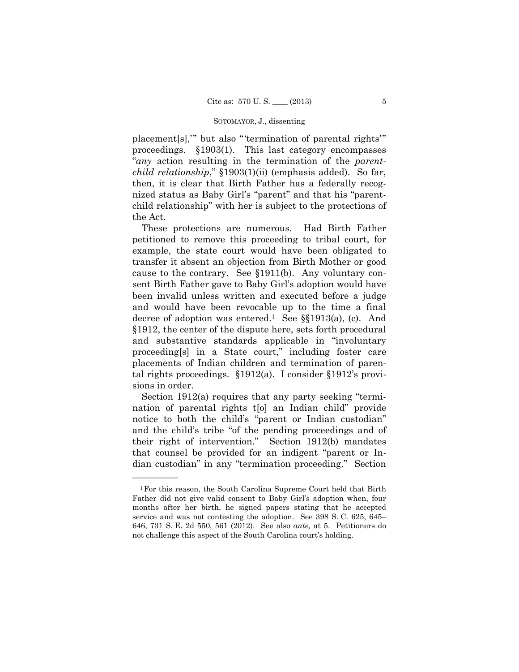placement[s],'" but also "'termination of parental rights'" proceedings. §1903(1). This last category encompasses "*any* action resulting in the termination of the *parentchild relationship*," §1903(1)(ii) (emphasis added). So far, then, it is clear that Birth Father has a federally recognized status as Baby Girl's "parent" and that his "parentchild relationship" with her is subject to the protections of the Act.

These protections are numerous. Had Birth Father petitioned to remove this proceeding to tribal court, for example, the state court would have been obligated to transfer it absent an objection from Birth Mother or good cause to the contrary. See §1911(b). Any voluntary consent Birth Father gave to Baby Girl's adoption would have been invalid unless written and executed before a judge and would have been revocable up to the time a final decree of adoption was entered.<sup>1</sup> See  $\S$ [1913(a), (c). And §1912, the center of the dispute here, sets forth procedural and substantive standards applicable in "involuntary proceeding[s] in a State court," including foster care placements of Indian children and termination of parental rights proceedings. §1912(a). I consider §1912's provisions in order.

Section 1912(a) requires that any party seeking "termination of parental rights t[o] an Indian child" provide notice to both the child's "parent or Indian custodian" and the child's tribe "of the pending proceedings and of their right of intervention." Section 1912(b) mandates that counsel be provided for an indigent "parent or Indian custodian" in any "termination proceeding." Section

<sup>1</sup>For this reason, the South Carolina Supreme Court held that Birth Father did not give valid consent to Baby Girl's adoption when, four months after her birth, he signed papers stating that he accepted service and was not contesting the adoption. See 398 S. C. 625, 645– 646, 731 S. E. 2d 550, 561 (2012). See also *ante,* at 5. Petitioners do not challenge this aspect of the South Carolina court's holding.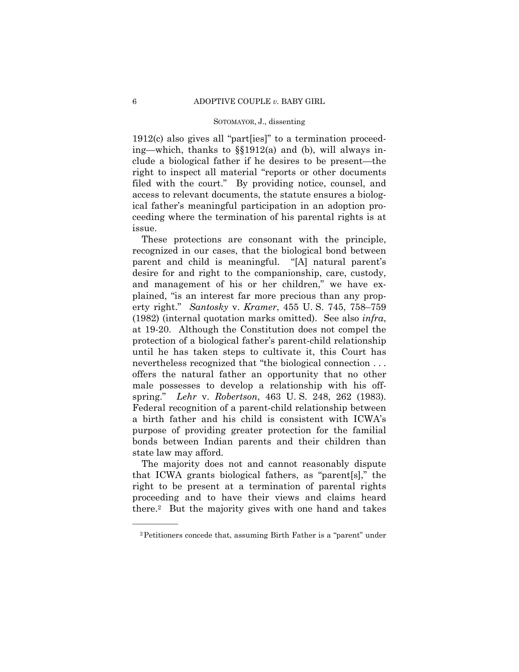1912(c) also gives all "part[ies]" to a termination proceeding—which, thanks to §§1912(a) and (b), will always include a biological father if he desires to be present—the right to inspect all material "reports or other documents filed with the court." By providing notice, counsel, and access to relevant documents, the statute ensures a biological father's meaningful participation in an adoption proceeding where the termination of his parental rights is at issue.

 erty right." *Santosky* v. *Kramer*, 455 U. S. 745, 758–759 These protections are consonant with the principle, recognized in our cases, that the biological bond between parent and child is meaningful. "[A] natural parent's desire for and right to the companionship, care, custody, and management of his or her children," we have explained, "is an interest far more precious than any prop-(1982) (internal quotation marks omitted). See also *infra*, at 19-20. Although the Constitution does not compel the protection of a biological father's parent-child relationship until he has taken steps to cultivate it, this Court has nevertheless recognized that "the biological connection . . . offers the natural father an opportunity that no other male possesses to develop a relationship with his offspring." *Lehr* v. *Robertson*, 463 U. S. 248, 262 (1983). Federal recognition of a parent-child relationship between a birth father and his child is consistent with ICWA's purpose of providing greater protection for the familial bonds between Indian parents and their children than state law may afford.

The majority does not and cannot reasonably dispute that ICWA grants biological fathers, as "parent[s]," the right to be present at a termination of parental rights proceeding and to have their views and claims heard there.2 But the majority gives with one hand and takes

<sup>2</sup>Petitioners concede that, assuming Birth Father is a "parent" under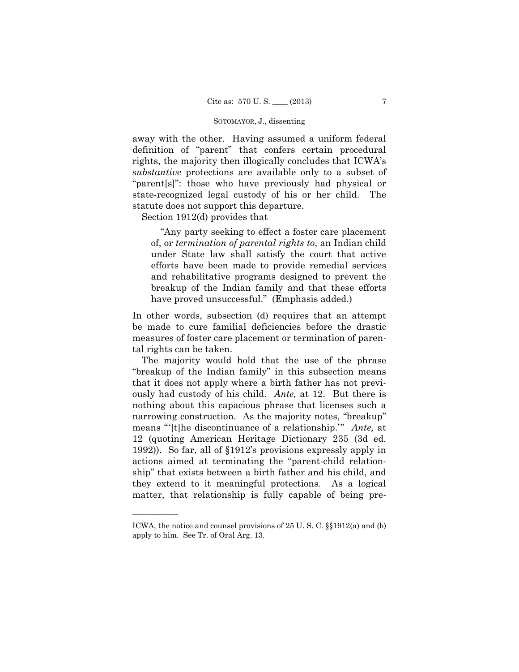away with the other. Having assumed a uniform federal definition of "parent" that confers certain procedural rights, the majority then illogically concludes that ICWA's *substantive* protections are available only to a subset of "parent[s]": those who have previously had physical or state-recognized legal custody of his or her child. The statute does not support this departure.

Section 1912(d) provides that

"Any party seeking to effect a foster care placement of, or *termination of parental rights to*, an Indian child under State law shall satisfy the court that active efforts have been made to provide remedial services and rehabilitative programs designed to prevent the breakup of the Indian family and that these efforts have proved unsuccessful." (Emphasis added.)

In other words, subsection (d) requires that an attempt be made to cure familial deficiencies before the drastic measures of foster care placement or termination of parental rights can be taken.

The majority would hold that the use of the phrase "breakup of the Indian family" in this subsection means that it does not apply where a birth father has not previously had custody of his child. *Ante,* at 12. But there is nothing about this capacious phrase that licenses such a narrowing construction. As the majority notes, "breakup" means "'[t]he discontinuance of a relationship.'" *Ante,* at 12 (quoting American Heritage Dictionary 235 (3d ed. 1992)). So far, all of §1912's provisions expressly apply in actions aimed at terminating the "parent-child relationship" that exists between a birth father and his child, and they extend to it meaningful protections. As a logical matter, that relationship is fully capable of being pre

ICWA, the notice and counsel provisions of 25 U. S. C. §§1912(a) and (b) apply to him. See Tr. of Oral Arg. 13.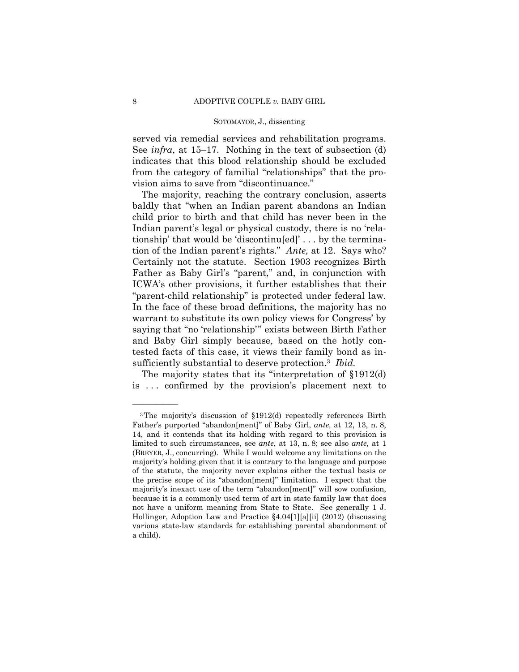served via remedial services and rehabilitation programs. See *infra*, at 15–17. Nothing in the text of subsection (d) indicates that this blood relationship should be excluded from the category of familial "relationships" that the provision aims to save from "discontinuance."

 tion of the Indian parent's rights." *Ante,* at 12. Says who? sufficiently substantial to deserve protection.3 *Ibid.*  The majority, reaching the contrary conclusion, asserts baldly that "when an Indian parent abandons an Indian child prior to birth and that child has never been in the Indian parent's legal or physical custody, there is no 'relationship' that would be 'discontinu[ed]' . . . by the termina-Certainly not the statute. Section 1903 recognizes Birth Father as Baby Girl's "parent," and, in conjunction with ICWA's other provisions, it further establishes that their "parent-child relationship" is protected under federal law. In the face of these broad definitions, the majority has no warrant to substitute its own policy views for Congress' by saying that "no 'relationship'" exists between Birth Father and Baby Girl simply because, based on the hotly contested facts of this case, it views their family bond as in-

The majority states that its "interpretation of §1912(d) is . . . confirmed by the provision's placement next to

 Father's purported "abandon[ment]" of Baby Girl, *ante,* at 12, 13, n. 8, (BREYER, J., concurring). While I would welcome any limitations on the 3The majority's discussion of §1912(d) repeatedly references Birth 14, and it contends that its holding with regard to this provision is limited to such circumstances, see *ante*, at 13, n. 8; see also *ante,* at 1 majority's holding given that it is contrary to the language and purpose of the statute, the majority never explains either the textual basis or the precise scope of its "abandon[ment]" limitation. I expect that the majority's inexact use of the term "abandon[ment]" will sow confusion, because it is a commonly used term of art in state family law that does not have a uniform meaning from State to State. See generally 1 J. Hollinger, Adoption Law and Practice §4.04[1][a][ii] (2012) (discussing various state-law standards for establishing parental abandonment of a child).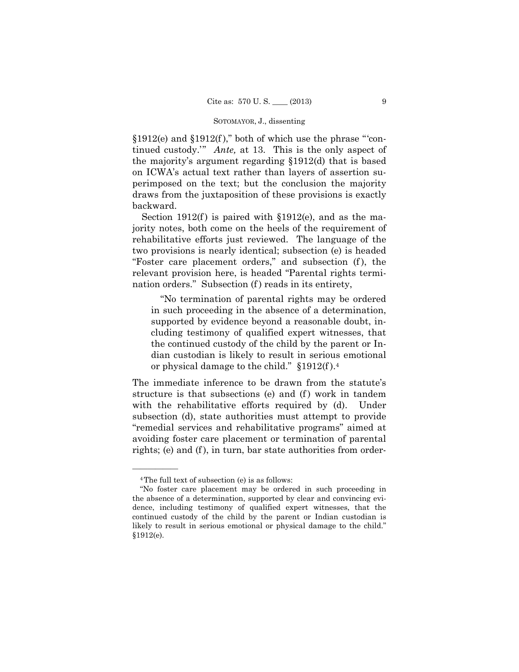$$1912(e)$  and  $$1912(f)$ ," both of which use the phrase "'continued custody.'" *Ante,* at 13. This is the only aspect of the majority's argument regarding §1912(d) that is based on ICWA's actual text rather than layers of assertion superimposed on the text; but the conclusion the majority draws from the juxtaposition of these provisions is exactly backward.

Section  $1912(f)$  is paired with  $$1912(e)$ , and as the majority notes, both come on the heels of the requirement of rehabilitative efforts just reviewed. The language of the two provisions is nearly identical; subsection (e) is headed "Foster care placement orders," and subsection (f ), the relevant provision here, is headed "Parental rights termination orders." Subsection (f) reads in its entirety,

"No termination of parental rights may be ordered in such proceeding in the absence of a determination, supported by evidence beyond a reasonable doubt, including testimony of qualified expert witnesses, that the continued custody of the child by the parent or Indian custodian is likely to result in serious emotional or physical damage to the child." §1912(f ).4

The immediate inference to be drawn from the statute's structure is that subsections (e) and (f) work in tandem with the rehabilitative efforts required by (d). Under subsection (d), state authorities must attempt to provide "remedial services and rehabilitative programs" aimed at avoiding foster care placement or termination of parental rights; (e) and (f), in turn, bar state authorities from order-

<sup>4</sup>The full text of subsection (e) is as follows:

<sup>&</sup>quot;No foster care placement may be ordered in such proceeding in the absence of a determination, supported by clear and convincing evidence, including testimony of qualified expert witnesses, that the continued custody of the child by the parent or Indian custodian is likely to result in serious emotional or physical damage to the child." §1912(e).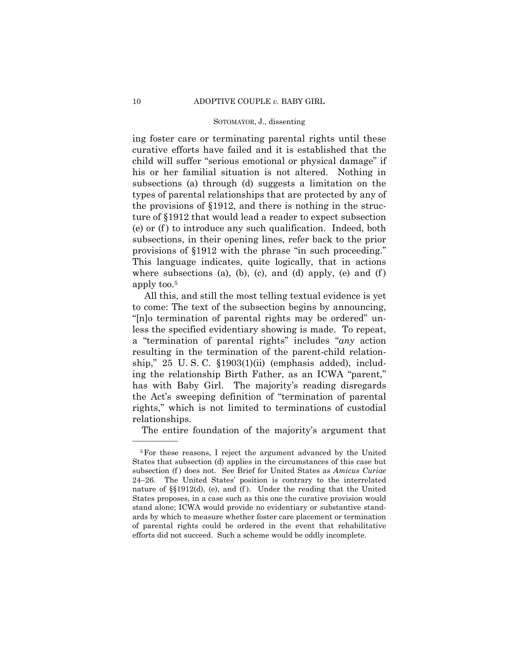ing foster care or terminating parental rights until these curative efforts have failed and it is established that the child will suffer "serious emotional or physical damage" if his or her familial situation is not altered. Nothing in subsections (a) through (d) suggests a limitation on the types of parental relationships that are protected by any of the provisions of §1912, and there is nothing in the structure of §1912 that would lead a reader to expect subsection (e) or (f ) to introduce any such qualification. Indeed, both subsections, in their opening lines, refer back to the prior provisions of §1912 with the phrase "in such proceeding." This language indicates, quite logically, that in actions where subsections (a), (b), (c), and (d) apply, (e) and (f) apply too.5

 All this, and still the most telling textual evidence is yet to come: The text of the subsection begins by announcing, "[n]o termination of parental rights may be ordered" unless the specified evidentiary showing is made. To repeat, a "termination of parental rights" includes "*any* action resulting in the termination of the parent-child relationship," 25 U. S. C. §1903(1)(ii) (emphasis added), including the relationship Birth Father, as an ICWA "parent," has with Baby Girl. The majority's reading disregards the Act's sweeping definition of "termination of parental rights," which is not limited to terminations of custodial relationships.

The entire foundation of the majority's argument that

<sup>5</sup>For these reasons, I reject the argument advanced by the United States that subsection (d) applies in the circumstances of this case but subsection (f) does not. See Brief for United States as *Amicus Curiae* 24–26. The United States' position is contrary to the interrelated nature of §§1912(d), (e), and (f ). Under the reading that the United States proposes, in a case such as this one the curative provision would stand alone; ICWA would provide no evidentiary or substantive standards by which to measure whether foster care placement or termination of parental rights could be ordered in the event that rehabilitative efforts did not succeed. Such a scheme would be oddly incomplete.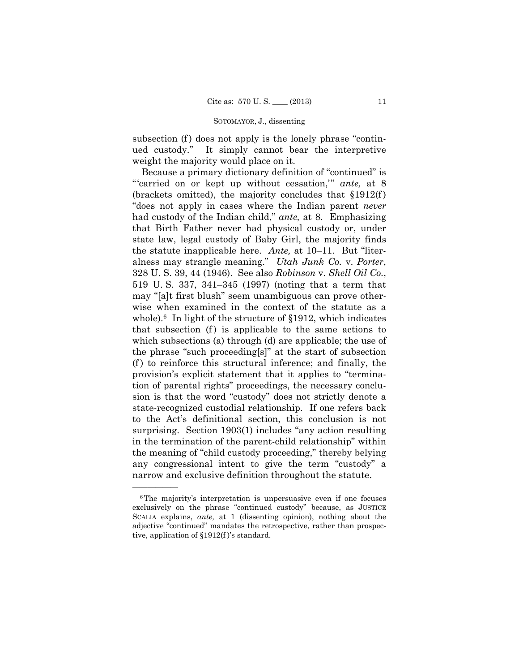subsection (f) does not apply is the lonely phrase "continued custody." It simply cannot bear the interpretive weight the majority would place on it.

Because a primary dictionary definition of "continued" is "'carried on or kept up without cessation,'" *ante,* at 8 (brackets omitted), the majority concludes that §1912(f ) "does not apply in cases where the Indian parent *never*  had custody of the Indian child," *ante,* at 8. Emphasizing that Birth Father never had physical custody or, under state law, legal custody of Baby Girl, the majority finds the statute inapplicable here. *Ante,* at 10–11. But "literalness may strangle meaning." *Utah Junk Co.* v. *Porter*, 328 U. S. 39, 44 (1946). See also *Robinson* v. *Shell Oil Co.*, 519 U. S. 337, 341–345 (1997) (noting that a term that may "[a]t first blush" seem unambiguous can prove otherwise when examined in the context of the statute as a whole).<sup>6</sup> In light of the structure of  $$1912$ , which indicates that subsection  $(f)$  is applicable to the same actions to which subsections (a) through (d) are applicable; the use of the phrase "such proceeding[s]" at the start of subsection  $(f)$  to reinforce this structural inference; and finally, the provision's explicit statement that it applies to "termination of parental rights" proceedings, the necessary conclusion is that the word "custody" does not strictly denote a state-recognized custodial relationship. If one refers back to the Act's definitional section, this conclusion is not surprising. Section 1903(1) includes "any action resulting in the termination of the parent-child relationship" within the meaning of "child custody proceeding," thereby belying any congressional intent to give the term "custody" a narrow and exclusive definition throughout the statute.

<sup>6</sup>The majority's interpretation is unpersuasive even if one focuses exclusively on the phrase "continued custody" because, as JUSTICE SCALIA explains, *ante,* at 1 (dissenting opinion), nothing about the adjective "continued" mandates the retrospective, rather than prospective, application of §1912(f )'s standard.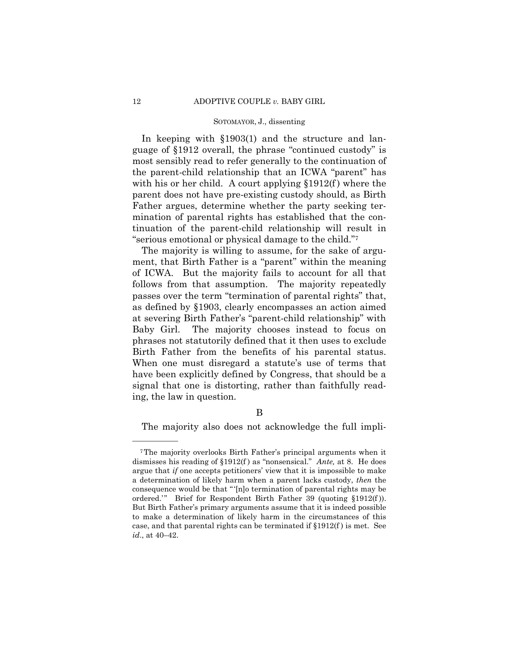In keeping with §1903(1) and the structure and language of §1912 overall, the phrase "continued custody" is most sensibly read to refer generally to the continuation of the parent-child relationship that an ICWA "parent" has with his or her child. A court applying  $$1912(f)$  where the parent does not have pre-existing custody should, as Birth Father argues, determine whether the party seeking termination of parental rights has established that the continuation of the parent-child relationship will result in "serious emotional or physical damage to the child."7

 Birth Father from the benefits of his parental status. The majority is willing to assume, for the sake of argument, that Birth Father is a "parent" within the meaning of ICWA. But the majority fails to account for all that follows from that assumption. The majority repeatedly passes over the term "termination of parental rights" that, as defined by §1903, clearly encompasses an action aimed at severing Birth Father's "parent-child relationship" with Baby Girl. The majority chooses instead to focus on phrases not statutorily defined that it then uses to exclude When one must disregard a statute's use of terms that have been explicitly defined by Congress, that should be a signal that one is distorting, rather than faithfully reading, the law in question.

B

The majority also does not acknowledge the full impli

 case, and that parental rights can be terminated if §1912(f ) is met. See 7The majority overlooks Birth Father's principal arguments when it dismisses his reading of §1912(f ) as "nonsensical." *Ante,* at 8. He does argue that *if* one accepts petitioners' view that it is impossible to make a determination of likely harm when a parent lacks custody, *then* the consequence would be that " '[n]o termination of parental rights may be ordered.'" Brief for Respondent Birth Father 39 (quoting §1912(f)). But Birth Father's primary arguments assume that it is indeed possible to make a determination of likely harm in the circumstances of this *id*., at 40–42.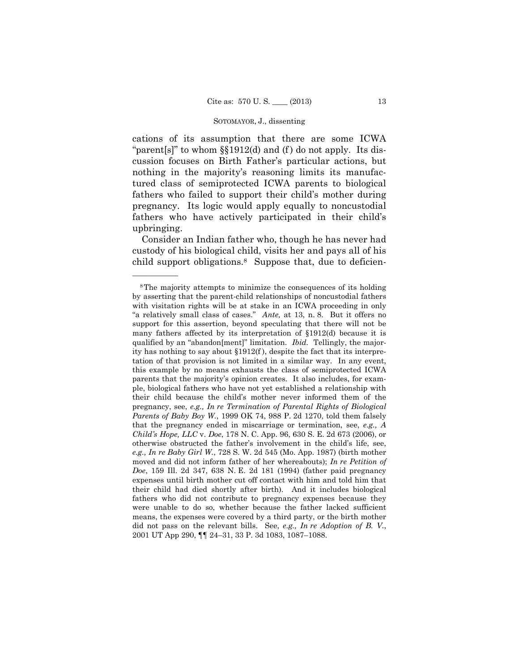cations of its assumption that there are some ICWA "parent[s]" to whom  $\S$ [1912(d) and (f) do not apply. Its discussion focuses on Birth Father's particular actions, but nothing in the majority's reasoning limits its manufactured class of semiprotected ICWA parents to biological fathers who failed to support their child's mother during pregnancy. Its logic would apply equally to noncustodial fathers who have actively participated in their child's upbringing.

Consider an Indian father who, though he has never had custody of his biological child, visits her and pays all of his child support obligations.8 Suppose that, due to deficien

 qualified by an "abandon[ment]" limitation. *Ibid.* Tellingly, the major-8The majority attempts to minimize the consequences of its holding by asserting that the parent-child relationships of noncustodial fathers with visitation rights will be at stake in an ICWA proceeding in only "a relatively small class of cases." *Ante,* at 13, n. 8. But it offers no support for this assertion, beyond speculating that there will not be many fathers affected by its interpretation of §1912(d) because it is ity has nothing to say about  $\S 1912(f)$ , despite the fact that its interpretation of that provision is not limited in a similar way. In any event, this example by no means exhausts the class of semiprotected ICWA parents that the majority's opinion creates. It also includes, for example, biological fathers who have not yet established a relationship with their child because the child's mother never informed them of the pregnancy, see, *e.g., In re Termination of Parental Rights of Biological Parents of Baby Boy W.*, 1999 OK 74, 988 P. 2d 1270, told them falsely that the pregnancy ended in miscarriage or termination, see, *e.g., A Child's Hope, LLC* v. *Doe*, 178 N. C. App. 96, 630 S. E. 2d 673 (2006), or otherwise obstructed the father's involvement in the child's life, see, *e.g., In re Baby Girl W.*, 728 S. W. 2d 545 (Mo. App. 1987) (birth mother moved and did not inform father of her whereabouts); *In re Petition of Doe*, 159 Ill. 2d 347, 638 N. E. 2d 181 (1994) (father paid pregnancy expenses until birth mother cut off contact with him and told him that their child had died shortly after birth). And it includes biological fathers who did not contribute to pregnancy expenses because they were unable to do so, whether because the father lacked sufficient means, the expenses were covered by a third party, or the birth mother did not pass on the relevant bills. See, *e.g., In re Adoption of B. V.*, 2001 UT App 290, ¶¶ 24–31, 33 P. 3d 1083, 1087–1088.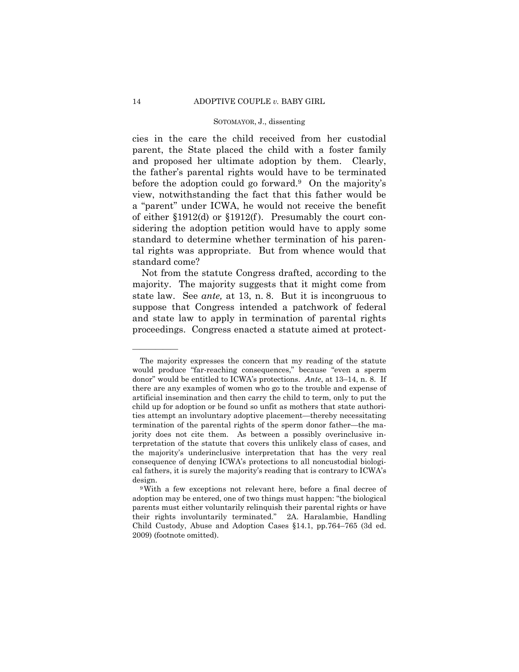cies in the care the child received from her custodial parent, the State placed the child with a foster family and proposed her ultimate adoption by them. Clearly, the father's parental rights would have to be terminated before the adoption could go forward.<sup>9</sup> On the majority's view, notwithstanding the fact that this father would be a "parent" under ICWA, he would not receive the benefit of either §1912(d) or §1912(f ). Presumably the court considering the adoption petition would have to apply some standard to determine whether termination of his parental rights was appropriate. But from whence would that standard come?

Not from the statute Congress drafted, according to the majority. The majority suggests that it might come from state law. See *ante,* at 13, n. 8. But it is incongruous to suppose that Congress intended a patchwork of federal and state law to apply in termination of parental rights proceedings. Congress enacted a statute aimed at protect

 the majority's underinclusive interpretation that has the very real The majority expresses the concern that my reading of the statute would produce "far-reaching consequences," because "even a sperm donor" would be entitled to ICWA's protections. *Ante*, at 13–14, n. 8. If there are any examples of women who go to the trouble and expense of artificial insemination and then carry the child to term, only to put the child up for adoption or be found so unfit as mothers that state authorities attempt an involuntary adoptive placement—thereby necessitating termination of the parental rights of the sperm donor father—the majority does not cite them. As between a possibly overinclusive interpretation of the statute that covers this unlikely class of cases, and consequence of denying ICWA's protections to all noncustodial biological fathers, it is surely the majority's reading that is contrary to ICWA's

design. 9With a few exceptions not relevant here, before a final decree of adoption may be entered, one of two things must happen: "the biological parents must either voluntarily relinquish their parental rights or have their rights involuntarily terminated." 2A. Haralambie, Handling Child Custody, Abuse and Adoption Cases §14.1, pp.764–765 (3d ed. 2009) (footnote omitted).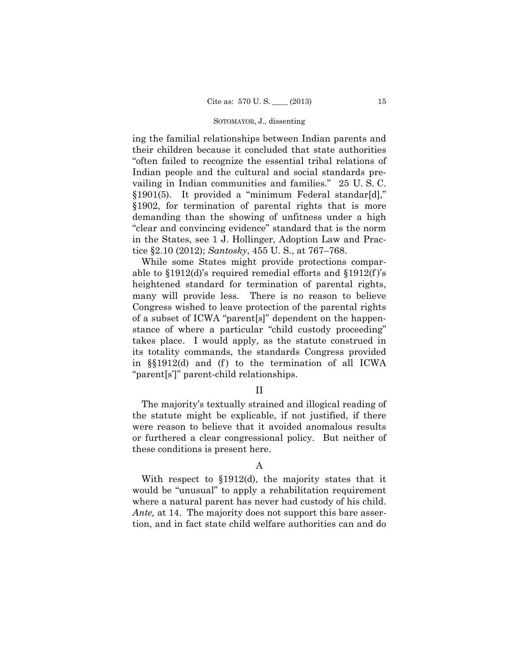ing the familial relationships between Indian parents and their children because it concluded that state authorities "often failed to recognize the essential tribal relations of Indian people and the cultural and social standards prevailing in Indian communities and families." 25 U. S. C. §1901(5). It provided a "minimum Federal standar[d]," §1902, for termination of parental rights that is more demanding than the showing of unfitness under a high "clear and convincing evidence" standard that is the norm in the States, see 1 J. Hollinger, Adoption Law and Practice §2.10 (2012); *Santosky*, 455 U. S., at 767–768.

While some States might provide protections comparable to  $$1912(d)$ 's required remedial efforts and  $$1912(f)$ 's heightened standard for termination of parental rights, many will provide less. There is no reason to believe Congress wished to leave protection of the parental rights of a subset of ICWA "parent[s]" dependent on the happenstance of where a particular "child custody proceeding" takes place. I would apply, as the statute construed in its totality commands, the standards Congress provided in  $\S(1912(d)$  and (f) to the termination of all ICWA "parent[s']" parent-child relationships.

# II

The majority's textually strained and illogical reading of the statute might be explicable, if not justified, if there were reason to believe that it avoided anomalous results or furthered a clear congressional policy. But neither of these conditions is present here.

# A

With respect to §1912(d), the majority states that it would be "unusual" to apply a rehabilitation requirement where a natural parent has never had custody of his child. *Ante,* at 14. The majority does not support this bare assertion, and in fact state child welfare authorities can and do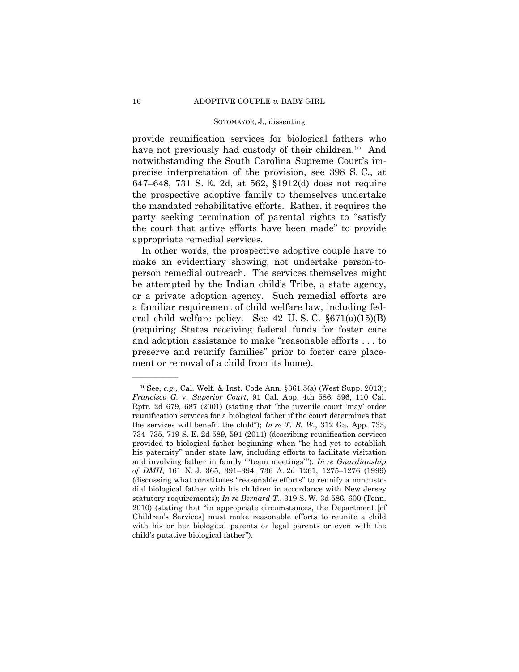provide reunification services for biological fathers who have not previously had custody of their children.<sup>10</sup> And notwithstanding the South Carolina Supreme Court's imprecise interpretation of the provision, see 398 S. C., at 647–648, 731 S. E. 2d, at 562, §1912(d) does not require the prospective adoptive family to themselves undertake the mandated rehabilitative efforts. Rather, it requires the party seeking termination of parental rights to "satisfy the court that active efforts have been made" to provide appropriate remedial services.

In other words, the prospective adoptive couple have to make an evidentiary showing, not undertake person-toperson remedial outreach. The services themselves might be attempted by the Indian child's Tribe, a state agency, or a private adoption agency. Such remedial efforts are a familiar requirement of child welfare law, including federal child welfare policy. See 42 U. S. C. §671(a)(15)(B) (requiring States receiving federal funds for foster care and adoption assistance to make "reasonable efforts . . . to preserve and reunify families" prior to foster care placement or removal of a child from its home).

<sup>10</sup>See, *e.g.,* Cal. Welf. & Inst. Code Ann. §361.5(a) (West Supp. 2013); *Francisco G.* v. *Superior Court*, 91 Cal. App. 4th 586, 596, 110 Cal. Rptr. 2d 679, 687 (2001) (stating that "the juvenile court 'may' order reunification services for a biological father if the court determines that the services will benefit the child"); *In re T. B. W.*, 312 Ga. App. 733, 734–735, 719 S. E. 2d 589, 591 (2011) (describing reunification services provided to biological father beginning when "he had yet to establish his paternity" under state law, including efforts to facilitate visitation and involving father in family " 'team meetings' "); *In re Guardianship of DMH*, 161 N. J. 365, 391–394, 736 A. 2d 1261, 1275–1276 (1999) (discussing what constitutes "reasonable efforts" to reunify a noncustodial biological father with his children in accordance with New Jersey statutory requirements); *In re Bernard T.*, 319 S. W. 3d 586, 600 (Tenn. 2010) (stating that "in appropriate circumstances, the Department [of Children's Services] must make reasonable efforts to reunite a child with his or her biological parents or legal parents or even with the child's putative biological father").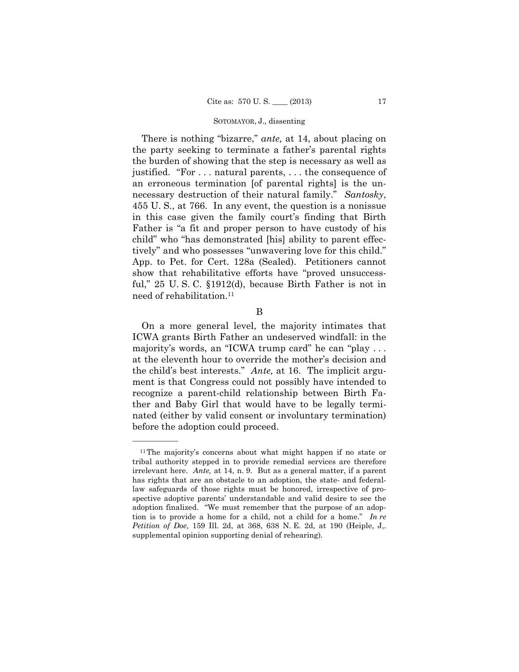necessary destruction of their natural family." *Santosky*, There is nothing "bizarre," *ante,* at 14, about placing on the party seeking to terminate a father's parental rights the burden of showing that the step is necessary as well as justified. "For . . . natural parents, . . . the consequence of an erroneous termination [of parental rights] is the un-455 U. S., at 766. In any event, the question is a nonissue in this case given the family court's finding that Birth Father is "a fit and proper person to have custody of his child" who "has demonstrated [his] ability to parent effectively" and who possesses "unwavering love for this child." App. to Pet. for Cert. 128a (Sealed). Petitioners cannot show that rehabilitative efforts have "proved unsuccessful," 25 U. S. C. §1912(d), because Birth Father is not in need of rehabilitation.<sup>11</sup>

B

On a more general level, the majority intimates that ICWA grants Birth Father an undeserved windfall: in the majority's words, an "ICWA trump card" he can "play . . . at the eleventh hour to override the mother's decision and the child's best interests." *Ante,* at 16. The implicit argument is that Congress could not possibly have intended to recognize a parent-child relationship between Birth Father and Baby Girl that would have to be legally terminated (either by valid consent or involuntary termination) before the adoption could proceed.

<sup>11</sup>The majority's concerns about what might happen if no state or tribal authority stepped in to provide remedial services are therefore irrelevant here. *Ante,* at 14, n. 9. But as a general matter, if a parent has rights that are an obstacle to an adoption, the state- and federallaw safeguards of those rights must be honored, irrespective of prospective adoptive parents' understandable and valid desire to see the adoption finalized. "We must remember that the purpose of an adoption is to provide a home for a child, not a child for a home." *In re Petition of Doe*, 159 Ill. 2d, at 368, 638 N. E. 2d, at 190 (Heiple, J,. supplemental opinion supporting denial of rehearing).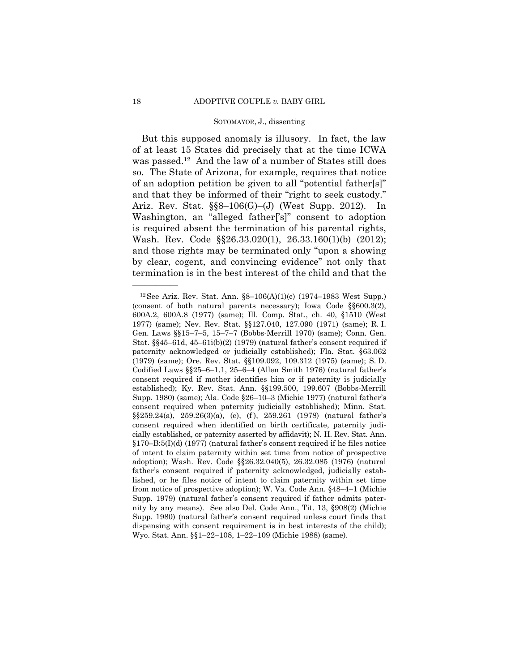But this supposed anomaly is illusory. In fact, the law of at least 15 States did precisely that at the time ICWA was passed.12 And the law of a number of States still does so. The State of Arizona, for example, requires that notice of an adoption petition be given to all "potential father[s]" and that they be informed of their "right to seek custody." Ariz. Rev. Stat. §§8–106(G)–(J) (West Supp. 2012). In Washington, an "alleged father['s]" consent to adoption is required absent the termination of his parental rights, Wash. Rev. Code §§26.33.020(1), 26.33.160(1)(b) (2012); and those rights may be terminated only "upon a showing by clear, cogent, and convincing evidence" not only that termination is in the best interest of the child and that the

<sup>&</sup>lt;sup>12</sup> See Ariz. Rev. Stat. Ann.  $\S8-106(A)(1)(c)$  (1974–1983 West Supp.) (consent of both natural parents necessary); Iowa Code §§600.3(2), 600A.2, 600A.8 (1977) (same); Ill. Comp. Stat., ch. 40, §1510 (West 1977) (same); Nev. Rev. Stat. §§127.040, 127.090 (1971) (same); R. I. Gen. Laws §§15–7–5, 15–7–7 (Bobbs-Merrill 1970) (same); Conn. Gen. Stat.  $\S$ §45–61d, 45–61i(b)(2) (1979) (natural father's consent required if paternity acknowledged or judicially established); Fla. Stat. §63.062 (1979) (same); Ore. Rev. Stat. §§109.092, 109.312 (1975) (same); S. D. Codified Laws §§25–6–1.1, 25–6–4 (Allen Smith 1976) (natural father's consent required if mother identifies him or if paternity is judicially established); Ky. Rev. Stat. Ann. §§199.500, 199.607 (Bobbs-Merrill Supp. 1980) (same); Ala. Code §26–10–3 (Michie 1977) (natural father's consent required when paternity judicially established); Minn. Stat. §§259.24(a), 259.26(3)(a), (e), (f ), 259.261 (1978) (natural father's consent required when identified on birth certificate, paternity judicially established, or paternity asserted by affidavit); N. H. Rev. Stat. Ann. §170–B:5(I)(d) (1977) (natural father's consent required if he files notice of intent to claim paternity within set time from notice of prospective adoption); Wash. Rev. Code §§26.32.040(5), 26.32.085 (1976) (natural father's consent required if paternity acknowledged, judicially established, or he files notice of intent to claim paternity within set time from notice of prospective adoption); W. Va. Code Ann. §48–4–1 (Michie Supp. 1979) (natural father's consent required if father admits paternity by any means). See also Del. Code Ann., Tit. 13, §908(2) (Michie Supp. 1980) (natural father's consent required unless court finds that dispensing with consent requirement is in best interests of the child); Wyo. Stat. Ann. §§1–22–108, 1–22–109 (Michie 1988) (same).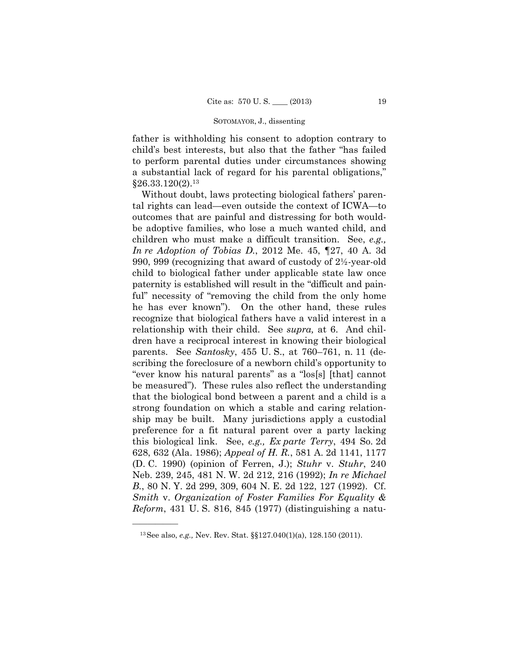father is withholding his consent to adoption contrary to child's best interests, but also that the father "has failed to perform parental duties under circumstances showing a substantial lack of regard for his parental obligations,"  $$26.33.120(2).<sup>13</sup>$ 

 this biological link. See, *e.g., Ex parte Terry*, 494 So. 2d Without doubt, laws protecting biological fathers' parental rights can lead—even outside the context of ICWA—to outcomes that are painful and distressing for both wouldbe adoptive families, who lose a much wanted child, and children who must make a difficult transition. See, *e.g., In re Adoption of Tobias D.*, 2012 Me. 45, ¶27, 40 A. 3d 990, 999 (recognizing that award of custody of 2½-year-old child to biological father under applicable state law once paternity is established will result in the "difficult and painful" necessity of "removing the child from the only home he has ever known"). On the other hand, these rules recognize that biological fathers have a valid interest in a relationship with their child. See *supra,* at 6. And children have a reciprocal interest in knowing their biological parents. See *Santosky*, 455 U. S., at 760–761, n. 11 (describing the foreclosure of a newborn child's opportunity to "ever know his natural parents" as a "los[s] [that] cannot be measured"). These rules also reflect the understanding that the biological bond between a parent and a child is a strong foundation on which a stable and caring relationship may be built. Many jurisdictions apply a custodial preference for a fit natural parent over a party lacking 628, 632 (Ala. 1986); *Appeal of H. R.*, 581 A. 2d 1141, 1177 (D. C. 1990) (opinion of Ferren, J.); *Stuhr* v. *Stuhr*, 240 Neb. 239, 245, 481 N. W. 2d 212, 216 (1992); *In re Michael B.*, 80 N. Y. 2d 299, 309, 604 N. E. 2d 122, 127 (1992). Cf. *Smith* v. *Organization of Foster Families For Equality & Reform*, 431 U. S. 816, 845 (1977) (distinguishing a natu

<sup>13</sup>See also, *e.g.,* Nev. Rev. Stat. §§127.040(1)(a), 128.150 (2011).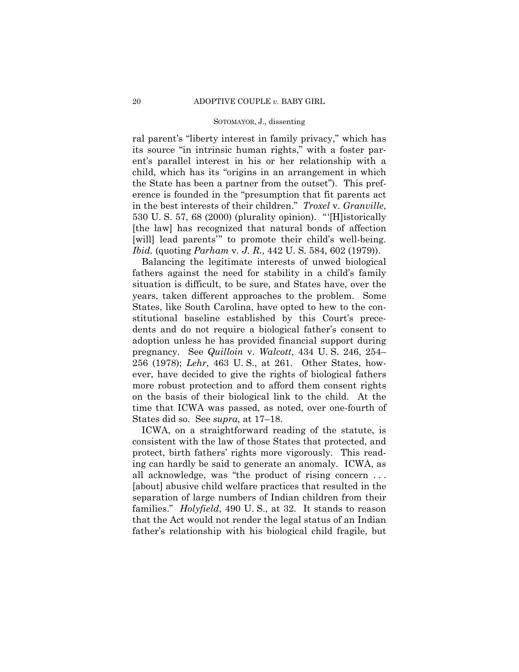ral parent's "liberty interest in family privacy," which has its source "in intrinsic human rights," with a foster parent's parallel interest in his or her relationship with a child, which has its "origins in an arrangement in which the State has been a partner from the outset"). This preference is founded in the "presumption that fit parents act in the best interests of their children." *Troxel* v. *Granville*, 530 U. S. 57, 68 (2000) (plurality opinion). "'[H]istorically [the law] has recognized that natural bonds of affection [will] lead parents" to promote their child's well-being. *Ibid.* (quoting *Parham* v. *J. R.*, 442 U. S. 584, 602 (1979)).

Balancing the legitimate interests of unwed biological fathers against the need for stability in a child's family situation is difficult, to be sure, and States have, over the years, taken different approaches to the problem. Some States, like South Carolina, have opted to hew to the constitutional baseline established by this Court's precedents and do not require a biological father's consent to adoption unless he has provided financial support during pregnancy. See *Quilloin* v. *Walcott*, 434 U. S. 246, 254– 256 (1978); *Lehr*, 463 U. S., at 261. Other States, however, have decided to give the rights of biological fathers more robust protection and to afford them consent rights on the basis of their biological link to the child. At the time that ICWA was passed, as noted, over one-fourth of States did so. See *supra,* at 17–18.

ICWA, on a straightforward reading of the statute, is consistent with the law of those States that protected, and protect, birth fathers' rights more vigorously. This reading can hardly be said to generate an anomaly. ICWA, as all acknowledge, was "the product of rising concern . . . [about] abusive child welfare practices that resulted in the separation of large numbers of Indian children from their families." *Holyfield*, 490 U. S., at 32. It stands to reason that the Act would not render the legal status of an Indian father's relationship with his biological child fragile, but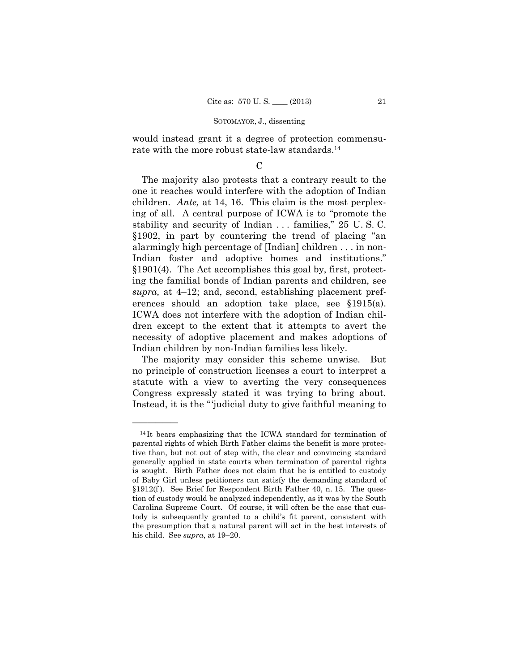would instead grant it a degree of protection commensurate with the more robust state-law standards.14

# $\mathcal{C}$

The majority also protests that a contrary result to the one it reaches would interfere with the adoption of Indian children. *Ante,* at 14, 16. This claim is the most perplexing of all. A central purpose of ICWA is to "promote the stability and security of Indian . . . families," 25 U. S. C. §1902, in part by countering the trend of placing "an alarmingly high percentage of [Indian] children . . . in non-Indian foster and adoptive homes and institutions." §1901(4). The Act accomplishes this goal by, first, protecting the familial bonds of Indian parents and children, see *supra,* at 4–12; and, second, establishing placement preferences should an adoption take place, see §1915(a). ICWA does not interfere with the adoption of Indian children except to the extent that it attempts to avert the necessity of adoptive placement and makes adoptions of Indian children by non-Indian families less likely.

The majority may consider this scheme unwise. But no principle of construction licenses a court to interpret a statute with a view to averting the very consequences Congress expressly stated it was trying to bring about. Instead, it is the "'judicial duty to give faithful meaning to

<sup>&</sup>lt;sup>14</sup>It bears emphasizing that the ICWA standard for termination of parental rights of which Birth Father claims the benefit is more protective than, but not out of step with, the clear and convincing standard generally applied in state courts when termination of parental rights is sought. Birth Father does not claim that he is entitled to custody of Baby Girl unless petitioners can satisfy the demanding standard of §1912(f). See Brief for Respondent Birth Father 40, n. 15. The question of custody would be analyzed independently, as it was by the South Carolina Supreme Court. Of course, it will often be the case that custody is subsequently granted to a child's fit parent, consistent with the presumption that a natural parent will act in the best interests of his child. See *supra*, at 19–20.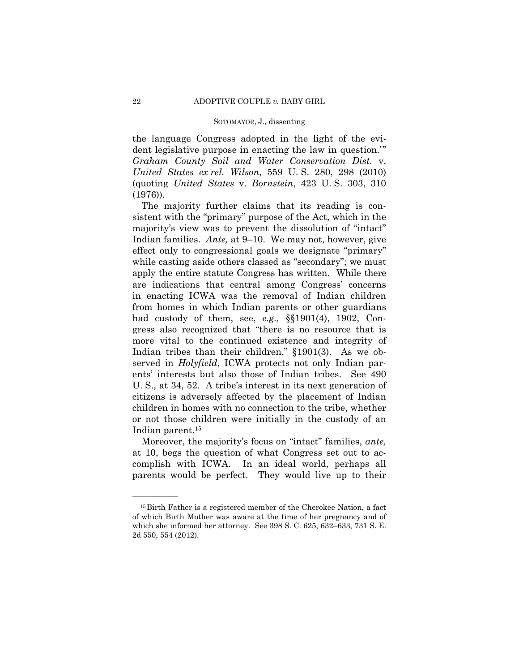the language Congress adopted in the light of the evident legislative purpose in enacting the law in question.'" *Graham County Soil and Water Conservation Dist.* v. *United States ex rel. Wilson*, 559 U. S. 280, 298 (2010) (quoting *United States* v. *Bornstein*, 423 U. S. 303, 310 (1976)).

The majority further claims that its reading is consistent with the "primary" purpose of the Act, which in the majority's view was to prevent the dissolution of "intact" Indian families. *Ante,* at 9–10. We may not, however, give effect only to congressional goals we designate "primary" while casting aside others classed as "secondary"; we must apply the entire statute Congress has written. While there are indications that central among Congress' concerns in enacting ICWA was the removal of Indian children from homes in which Indian parents or other guardians had custody of them, see, *e.g.,* §§1901(4), 1902, Congress also recognized that "there is no resource that is more vital to the continued existence and integrity of Indian tribes than their children," §1901(3). As we observed in *Holyfield*, ICWA protects not only Indian parents' interests but also those of Indian tribes. See 490 U. S., at 34, 52. A tribe's interest in its next generation of citizens is adversely affected by the placement of Indian children in homes with no connection to the tribe, whether or not those children were initially in the custody of an Indian parent.15

Moreover, the majority's focus on "intact" families, *ante,*  at 10, begs the question of what Congress set out to accomplish with ICWA. In an ideal world, perhaps all parents would be perfect. They would live up to their

<sup>15</sup>Birth Father is a registered member of the Cherokee Nation, a fact of which Birth Mother was aware at the time of her pregnancy and of which she informed her attorney. See 398 S. C. 625, 632–633, 731 S. E. 2d 550, 554 (2012).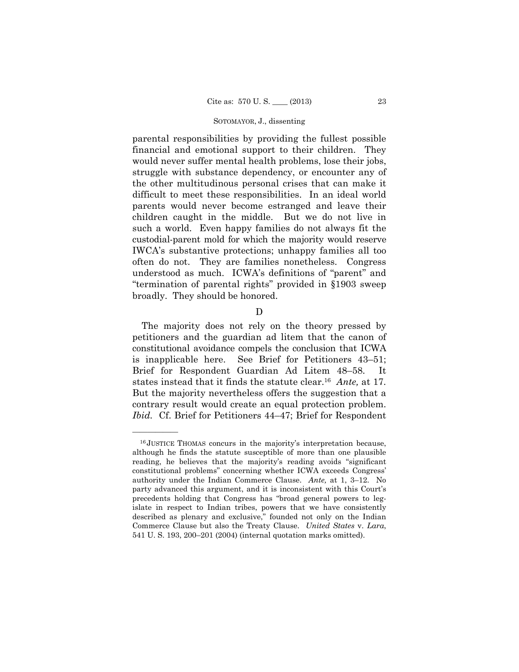parental responsibilities by providing the fullest possible financial and emotional support to their children. They would never suffer mental health problems, lose their jobs, struggle with substance dependency, or encounter any of the other multitudinous personal crises that can make it difficult to meet these responsibilities. In an ideal world parents would never become estranged and leave their children caught in the middle. But we do not live in such a world. Even happy families do not always fit the custodial-parent mold for which the majority would reserve IWCA's substantive protections; unhappy families all too often do not. They are families nonetheless. Congress understood as much. ICWA's definitions of "parent" and "termination of parental rights" provided in §1903 sweep broadly. They should be honored.

# D

 states instead that it finds the statute clear.16 *Ante,* at 17. The majority does not rely on the theory pressed by petitioners and the guardian ad litem that the canon of constitutional avoidance compels the conclusion that ICWA is inapplicable here. See Brief for Petitioners 43–51; Brief for Respondent Guardian Ad Litem 48–58. It But the majority nevertheless offers the suggestion that a contrary result would create an equal protection problem. *Ibid.* Cf. Brief for Petitioners 44–47; Brief for Respondent

<sup>16</sup> JUSTICE THOMAS concurs in the majority's interpretation because, although he finds the statute susceptible of more than one plausible reading, he believes that the majority's reading avoids "significant constitutional problems" concerning whether ICWA exceeds Congress' authority under the Indian Commerce Clause. *Ante,* at 1, 3–12. No party advanced this argument, and it is inconsistent with this Court's precedents holding that Congress has "broad general powers to legislate in respect to Indian tribes, powers that we have consistently described as plenary and exclusive," founded not only on the Indian Commerce Clause but also the Treaty Clause. *United States* v. *Lara*, 541 U. S. 193, 200–201 (2004) (internal quotation marks omitted).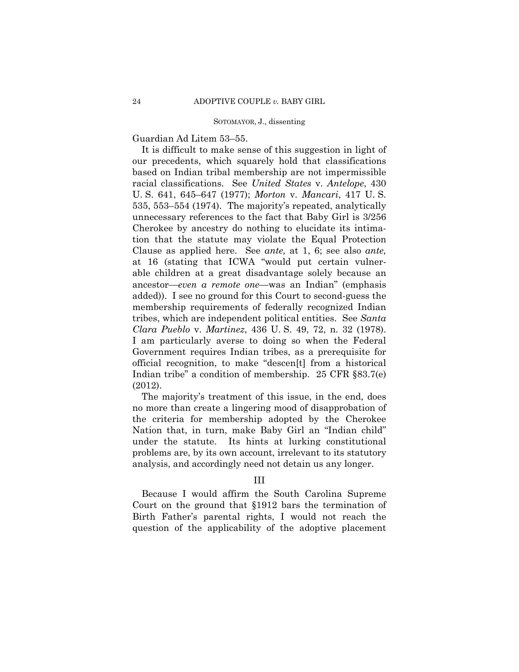Guardian Ad Litem 53–55.

It is difficult to make sense of this suggestion in light of our precedents, which squarely hold that classifications based on Indian tribal membership are not impermissible racial classifications. See *United States* v. *Antelope*, 430 U. S. 641, 645–647 (1977); *Morton* v. *Mancari*, 417 U. S. 535, 553–554 (1974). The majority's repeated, analytically unnecessary references to the fact that Baby Girl is 3/256 Cherokee by ancestry do nothing to elucidate its intimation that the statute may violate the Equal Protection Clause as applied here. See *ante,* at 1, 6; see also *ante,*  at 16 (stating that ICWA "would put certain vulnerable children at a great disadvantage solely because an ancestor—*even a remote one*—was an Indian" (emphasis added)). I see no ground for this Court to second-guess the membership requirements of federally recognized Indian tribes, which are independent political entities. See *Santa Clara Pueblo* v. *Martinez*, 436 U. S. 49, 72, n. 32 (1978). I am particularly averse to doing so when the Federal Government requires Indian tribes, as a prerequisite for official recognition, to make "descen[t] from a historical Indian tribe" a condition of membership. 25 CFR §83.7(e) (2012).

The majority's treatment of this issue, in the end, does no more than create a lingering mood of disapprobation of the criteria for membership adopted by the Cherokee Nation that, in turn, make Baby Girl an "Indian child" under the statute. Its hints at lurking constitutional problems are, by its own account, irrelevant to its statutory analysis, and accordingly need not detain us any longer.

# III

Because I would affirm the South Carolina Supreme Court on the ground that §1912 bars the termination of Birth Father's parental rights, I would not reach the question of the applicability of the adoptive placement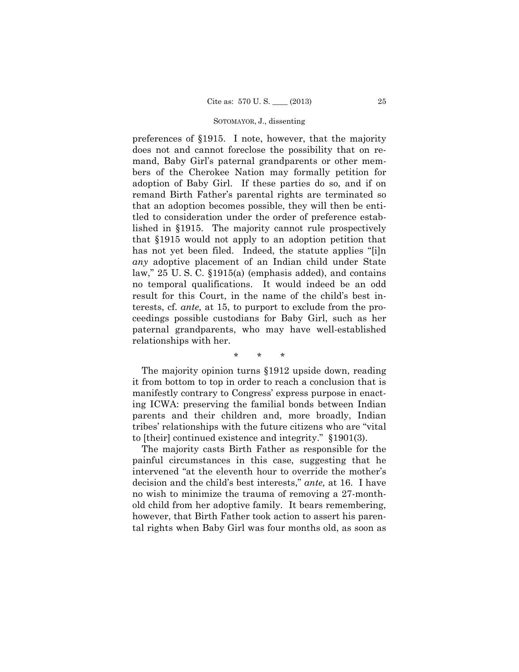preferences of §1915. I note, however, that the majority does not and cannot foreclose the possibility that on remand, Baby Girl's paternal grandparents or other members of the Cherokee Nation may formally petition for adoption of Baby Girl. If these parties do so, and if on remand Birth Father's parental rights are terminated so that an adoption becomes possible, they will then be entitled to consideration under the order of preference established in §1915. The majority cannot rule prospectively that §1915 would not apply to an adoption petition that has not yet been filed. Indeed, the statute applies "[i]n *any* adoptive placement of an Indian child under State law," 25 U. S. C. §1915(a) (emphasis added), and contains no temporal qualifications. It would indeed be an odd result for this Court, in the name of the child's best interests, cf. *ante,* at 15, to purport to exclude from the proceedings possible custodians for Baby Girl, such as her paternal grandparents, who may have well-established relationships with her.

\* \* \*

The majority opinion turns §1912 upside down, reading it from bottom to top in order to reach a conclusion that is manifestly contrary to Congress' express purpose in enacting ICWA: preserving the familial bonds between Indian parents and their children and, more broadly, Indian tribes' relationships with the future citizens who are "vital to [their] continued existence and integrity." §1901(3).

The majority casts Birth Father as responsible for the painful circumstances in this case, suggesting that he intervened "at the eleventh hour to override the mother's decision and the child's best interests," *ante,* at 16. I have no wish to minimize the trauma of removing a 27-monthold child from her adoptive family. It bears remembering, however, that Birth Father took action to assert his parental rights when Baby Girl was four months old, as soon as